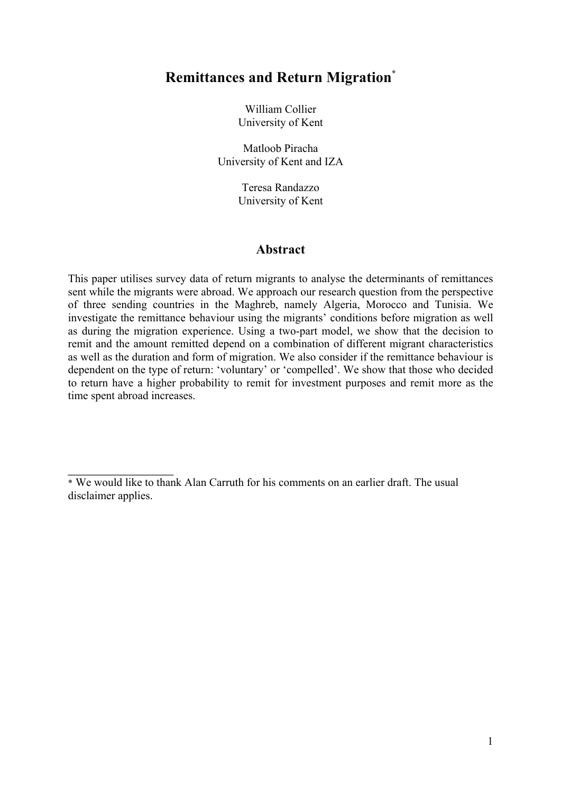# **Remittances and Return Migration\***

William Collier University of Kent

Matloob Piracha University of Kent and IZA

> Teresa Randazzo University of Kent

## **Abstract**

This paper utilises survey data of return migrants to analyse the determinants of remittances sent while the migrants were abroad. We approach our research question from the perspective of three sending countries in the Maghreb, namely Algeria, Morocco and Tunisia. We investigate the remittance behaviour using the migrants' conditions before migration as well as during the migration experience. Using a two-part model, we show that the decision to remit and the amount remitted depend on a combination of different migrant characteristics as well as the duration and form of migration. We also consider if the remittance behaviour is dependent on the type of return: 'voluntary' or 'compelled'. We show that those who decided to return have a higher probability to remit for investment purposes and remit more as the time spent abroad increases.

 $\frac{1}{2}$ 

<sup>\*</sup> We would like to thank Alan Carruth for his comments on an earlier draft. The usual disclaimer applies.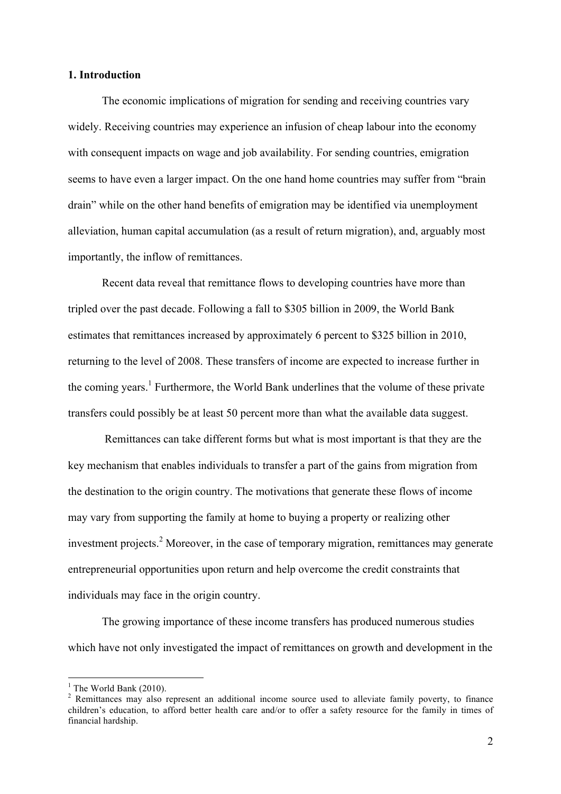#### **1. Introduction**

The economic implications of migration for sending and receiving countries vary widely. Receiving countries may experience an infusion of cheap labour into the economy with consequent impacts on wage and job availability. For sending countries, emigration seems to have even a larger impact. On the one hand home countries may suffer from "brain drain" while on the other hand benefits of emigration may be identified via unemployment alleviation, human capital accumulation (as a result of return migration), and, arguably most importantly, the inflow of remittances.

Recent data reveal that remittance flows to developing countries have more than tripled over the past decade. Following a fall to \$305 billion in 2009, the World Bank estimates that remittances increased by approximately 6 percent to \$325 billion in 2010, returning to the level of 2008. These transfers of income are expected to increase further in the coming years.<sup>1</sup> Furthermore, the World Bank underlines that the volume of these private transfers could possibly be at least 50 percent more than what the available data suggest.

Remittances can take different forms but what is most important is that they are the key mechanism that enables individuals to transfer a part of the gains from migration from the destination to the origin country. The motivations that generate these flows of income may vary from supporting the family at home to buying a property or realizing other investment projects. <sup>2</sup> Moreover, in the case of temporary migration, remittances may generate entrepreneurial opportunities upon return and help overcome the credit constraints that individuals may face in the origin country.

The growing importance of these income transfers has produced numerous studies which have not only investigated the impact of remittances on growth and development in the

 $1$  The World Bank (2010).

<sup>&</sup>lt;sup>2</sup> Remittances may also represent an additional income source used to alleviate family poverty, to finance children's education, to afford better health care and/or to offer a safety resource for the family in times of financial hardship.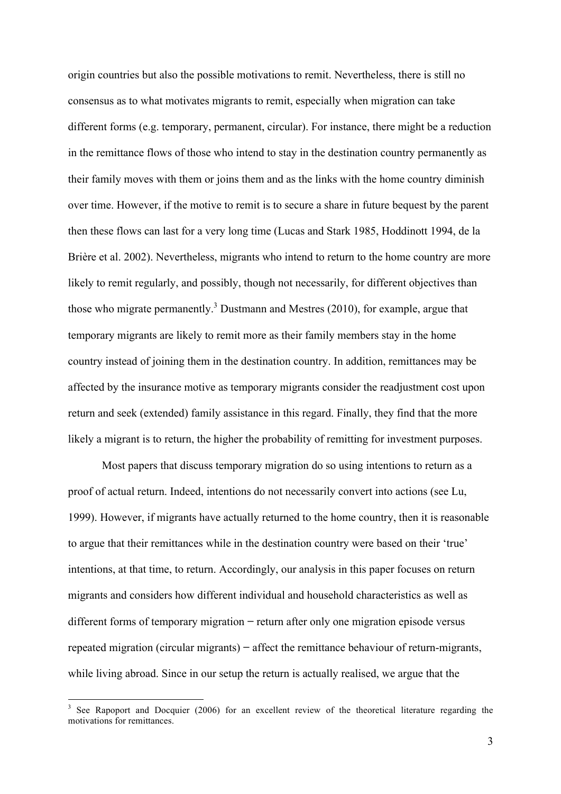origin countries but also the possible motivations to remit. Nevertheless, there is still no consensus as to what motivates migrants to remit, especially when migration can take different forms (e.g. temporary, permanent, circular). For instance, there might be a reduction in the remittance flows of those who intend to stay in the destination country permanently as their family moves with them or joins them and as the links with the home country diminish over time. However, if the motive to remit is to secure a share in future bequest by the parent then these flows can last for a very long time (Lucas and Stark 1985, Hoddinott 1994, de la Brière et al. 2002). Nevertheless, migrants who intend to return to the home country are more likely to remit regularly, and possibly, though not necessarily, for different objectives than those who migrate permanently.<sup>3</sup> Dustmann and Mestres (2010), for example, argue that temporary migrants are likely to remit more as their family members stay in the home country instead of joining them in the destination country. In addition, remittances may be affected by the insurance motive as temporary migrants consider the readjustment cost upon return and seek (extended) family assistance in this regard. Finally, they find that the more likely a migrant is to return, the higher the probability of remitting for investment purposes.

Most papers that discuss temporary migration do so using intentions to return as a proof of actual return. Indeed, intentions do not necessarily convert into actions (see Lu, 1999). However, if migrants have actually returned to the home country, then it is reasonable to argue that their remittances while in the destination country were based on their 'true' intentions, at that time, to return. Accordingly, our analysis in this paper focuses on return migrants and considers how different individual and household characteristics as well as different forms of temporary migration **−** return after only one migration episode versus repeated migration (circular migrants) **−** affect the remittance behaviour of return-migrants, while living abroad. Since in our setup the return is actually realised, we argue that the

<sup>&</sup>lt;sup>3</sup> See Rapoport and Docquier (2006) for an excellent review of the theoretical literature regarding the motivations for remittances.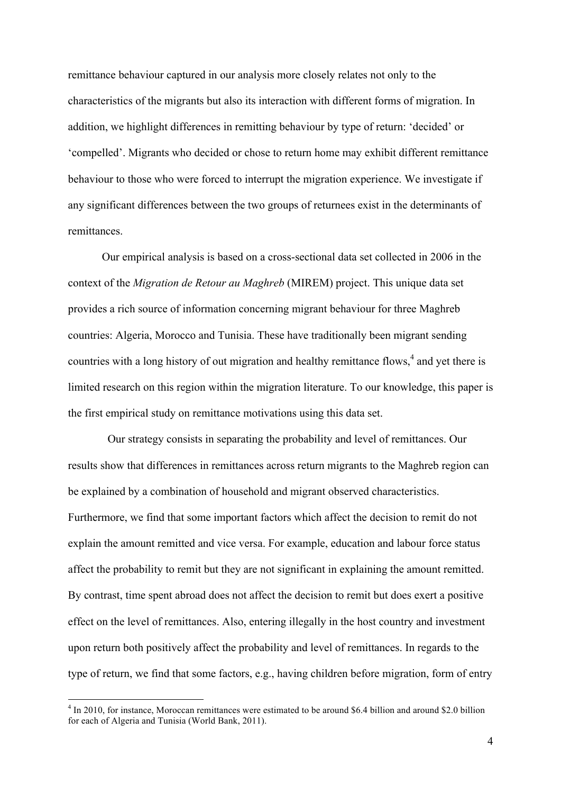remittance behaviour captured in our analysis more closely relates not only to the characteristics of the migrants but also its interaction with different forms of migration. In addition, we highlight differences in remitting behaviour by type of return: 'decided' or 'compelled'. Migrants who decided or chose to return home may exhibit different remittance behaviour to those who were forced to interrupt the migration experience. We investigate if any significant differences between the two groups of returnees exist in the determinants of remittances.

Our empirical analysis is based on a cross-sectional data set collected in 2006 in the context of the *Migration de Retour au Maghreb* (MIREM) project. This unique data set provides a rich source of information concerning migrant behaviour for three Maghreb countries: Algeria, Morocco and Tunisia. These have traditionally been migrant sending countries with a long history of out migration and healthy remittance flows, <sup>4</sup> and yet there is limited research on this region within the migration literature. To our knowledge, this paper is the first empirical study on remittance motivations using this data set.

 Our strategy consists in separating the probability and level of remittances. Our results show that differences in remittances across return migrants to the Maghreb region can be explained by a combination of household and migrant observed characteristics. Furthermore, we find that some important factors which affect the decision to remit do not explain the amount remitted and vice versa. For example, education and labour force status affect the probability to remit but they are not significant in explaining the amount remitted. By contrast, time spent abroad does not affect the decision to remit but does exert a positive effect on the level of remittances. Also, entering illegally in the host country and investment upon return both positively affect the probability and level of remittances. In regards to the type of return, we find that some factors, e.g., having children before migration, form of entry

<sup>&</sup>lt;sup>4</sup> In 2010, for instance, Moroccan remittances were estimated to be around \$6.4 billion and around \$2.0 billion for each of Algeria and Tunisia (World Bank, 2011).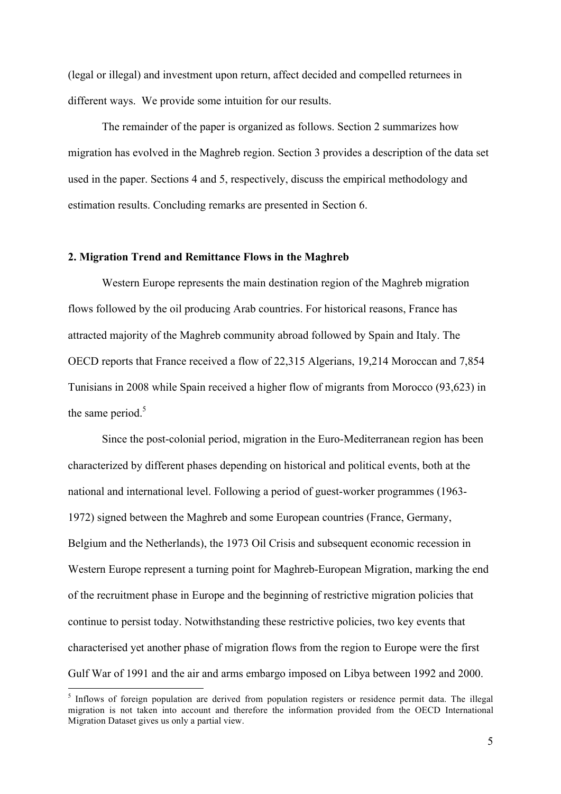(legal or illegal) and investment upon return, affect decided and compelled returnees in different ways. We provide some intuition for our results.

The remainder of the paper is organized as follows. Section 2 summarizes how migration has evolved in the Maghreb region. Section 3 provides a description of the data set used in the paper. Sections 4 and 5, respectively, discuss the empirical methodology and estimation results. Concluding remarks are presented in Section 6.

#### **2. Migration Trend and Remittance Flows in the Maghreb**

Western Europe represents the main destination region of the Maghreb migration flows followed by the oil producing Arab countries. For historical reasons, France has attracted majority of the Maghreb community abroad followed by Spain and Italy. The OECD reports that France received a flow of 22,315 Algerians, 19,214 Moroccan and 7,854 Tunisians in 2008 while Spain received a higher flow of migrants from Morocco (93,623) in the same period.<sup>5</sup>

Since the post-colonial period, migration in the Euro-Mediterranean region has been characterized by different phases depending on historical and political events, both at the national and international level. Following a period of guest-worker programmes (1963- 1972) signed between the Maghreb and some European countries (France, Germany, Belgium and the Netherlands), the 1973 Oil Crisis and subsequent economic recession in Western Europe represent a turning point for Maghreb-European Migration, marking the end of the recruitment phase in Europe and the beginning of restrictive migration policies that continue to persist today. Notwithstanding these restrictive policies, two key events that characterised yet another phase of migration flows from the region to Europe were the first Gulf War of 1991 and the air and arms embargo imposed on Libya between 1992 and 2000.

 $<sup>5</sup>$  Inflows of foreign population are derived from population registers or residence permit data. The illegal</sup> migration is not taken into account and therefore the information provided from the OECD International Migration Dataset gives us only a partial view.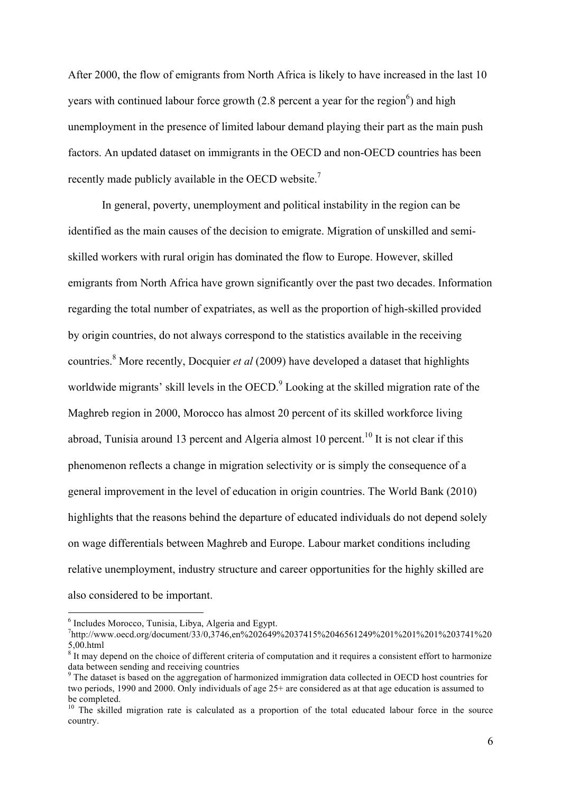After 2000, the flow of emigrants from North Africa is likely to have increased in the last 10 years with continued labour force growth  $(2.8$  percent a year for the region<sup>6</sup>) and high unemployment in the presence of limited labour demand playing their part as the main push factors. An updated dataset on immigrants in the OECD and non-OECD countries has been recently made publicly available in the OECD website.<sup>7</sup>

In general, poverty, unemployment and political instability in the region can be identified as the main causes of the decision to emigrate. Migration of unskilled and semiskilled workers with rural origin has dominated the flow to Europe. However, skilled emigrants from North Africa have grown significantly over the past two decades. Information regarding the total number of expatriates, as well as the proportion of high-skilled provided by origin countries, do not always correspond to the statistics available in the receiving countries.<sup>8</sup> More recently, Docquier *et al* (2009) have developed a dataset that highlights worldwide migrants' skill levels in the OECD.<sup>9</sup> Looking at the skilled migration rate of the Maghreb region in 2000, Morocco has almost 20 percent of its skilled workforce living abroad, Tunisia around 13 percent and Algeria almost 10 percent.<sup>10</sup> It is not clear if this phenomenon reflects a change in migration selectivity or is simply the consequence of a general improvement in the level of education in origin countries. The World Bank (2010) highlights that the reasons behind the departure of educated individuals do not depend solely on wage differentials between Maghreb and Europe. Labour market conditions including relative unemployment, industry structure and career opportunities for the highly skilled are also considered to be important.

 <sup>6</sup> Includes Morocco, Tunisia, Libya, Algeria and Egypt.

<sup>7</sup> http://www.oecd.org/document/33/0,3746,en%202649%2037415%2046561249%201%201%201%203741%20 5,00.html

<sup>&</sup>lt;sup>8</sup> It may depend on the choice of different criteria of computation and it requires a consistent effort to harmonize data between sending and receiving countries<br><sup>9</sup> The dataset is based on the aggregation of harmonized immigration data collected in OECD host countries for

two periods, 1990 and 2000. Only individuals of age 25+ are considered as at that age education is assumed to be completed.

 $10$  The skilled migration rate is calculated as a proportion of the total educated labour force in the source country.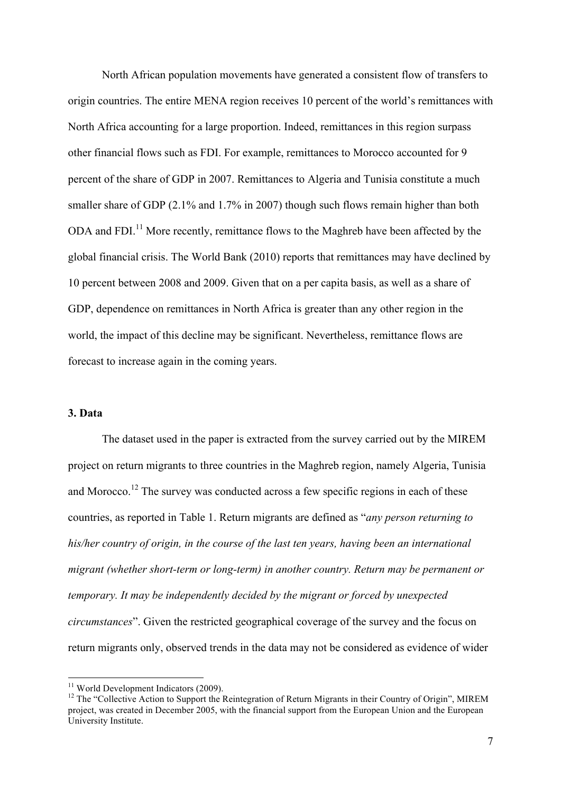North African population movements have generated a consistent flow of transfers to origin countries. The entire MENA region receives 10 percent of the world's remittances with North Africa accounting for a large proportion. Indeed, remittances in this region surpass other financial flows such as FDI. For example, remittances to Morocco accounted for 9 percent of the share of GDP in 2007. Remittances to Algeria and Tunisia constitute a much smaller share of GDP (2.1% and 1.7% in 2007) though such flows remain higher than both ODA and FDI.<sup>11</sup> More recently, remittance flows to the Maghreb have been affected by the global financial crisis. The World Bank (2010) reports that remittances may have declined by 10 percent between 2008 and 2009. Given that on a per capita basis, as well as a share of GDP, dependence on remittances in North Africa is greater than any other region in the world, the impact of this decline may be significant. Nevertheless, remittance flows are forecast to increase again in the coming years.

#### **3. Data**

The dataset used in the paper is extracted from the survey carried out by the MIREM project on return migrants to three countries in the Maghreb region, namely Algeria, Tunisia and Morocco.<sup>12</sup> The survey was conducted across a few specific regions in each of these countries, as reported in Table 1. Return migrants are defined as "*any person returning to his/her country of origin, in the course of the last ten years, having been an international migrant (whether short-term or long-term) in another country. Return may be permanent or temporary. It may be independently decided by the migrant or forced by unexpected circumstances*". Given the restricted geographical coverage of the survey and the focus on return migrants only, observed trends in the data may not be considered as evidence of wider

<sup>&</sup>lt;sup>11</sup> World Development Indicators (2009).<br><sup>12</sup> The "Collective Action to Support the Reintegration of Return Migrants in their Country of Origin", MIREM project, was created in December 2005, with the financial support from the European Union and the European University Institute.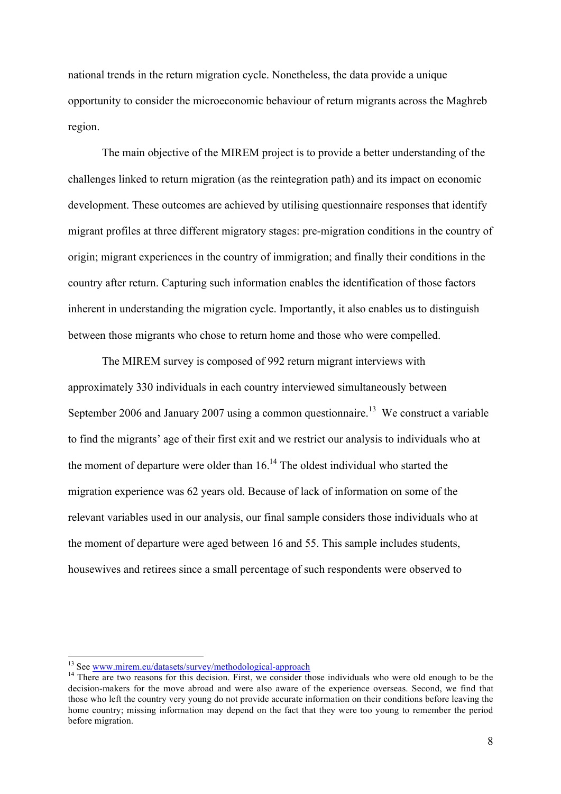national trends in the return migration cycle. Nonetheless, the data provide a unique opportunity to consider the microeconomic behaviour of return migrants across the Maghreb region.

The main objective of the MIREM project is to provide a better understanding of the challenges linked to return migration (as the reintegration path) and its impact on economic development. These outcomes are achieved by utilising questionnaire responses that identify migrant profiles at three different migratory stages: pre-migration conditions in the country of origin; migrant experiences in the country of immigration; and finally their conditions in the country after return. Capturing such information enables the identification of those factors inherent in understanding the migration cycle. Importantly, it also enables us to distinguish between those migrants who chose to return home and those who were compelled.

The MIREM survey is composed of 992 return migrant interviews with approximately 330 individuals in each country interviewed simultaneously between September 2006 and January 2007 using a common questionnaire.<sup>13</sup> We construct a variable to find the migrants' age of their first exit and we restrict our analysis to individuals who at the moment of departure were older than  $16<sup>14</sup>$ . The oldest individual who started the migration experience was 62 years old. Because of lack of information on some of the relevant variables used in our analysis, our final sample considers those individuals who at the moment of departure were aged between 16 and 55. This sample includes students, housewives and retirees since a small percentage of such respondents were observed to

<sup>&</sup>lt;sup>13</sup> See www.mirem.eu/datasets/survey/methodological-approach  $14$  There are two reasons for this decision. First, we consider those individuals who were old enough to be the decision-makers for the move abroad and were also aware of the experience overseas. Second, we find that those who left the country very young do not provide accurate information on their conditions before leaving the home country; missing information may depend on the fact that they were too young to remember the period before migration.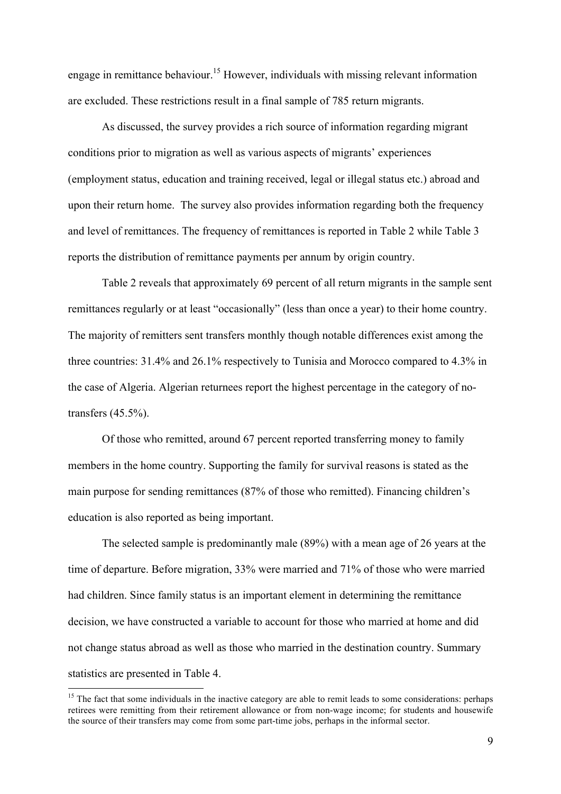engage in remittance behaviour. <sup>15</sup> However, individuals with missing relevant information are excluded. These restrictions result in a final sample of 785 return migrants.

As discussed, the survey provides a rich source of information regarding migrant conditions prior to migration as well as various aspects of migrants' experiences (employment status, education and training received, legal or illegal status etc.) abroad and upon their return home. The survey also provides information regarding both the frequency and level of remittances. The frequency of remittances is reported in Table 2 while Table 3 reports the distribution of remittance payments per annum by origin country.

Table 2 reveals that approximately 69 percent of all return migrants in the sample sent remittances regularly or at least "occasionally" (less than once a year) to their home country. The majority of remitters sent transfers monthly though notable differences exist among the three countries: 31.4% and 26.1% respectively to Tunisia and Morocco compared to 4.3% in the case of Algeria. Algerian returnees report the highest percentage in the category of notransfers (45.5%).

Of those who remitted, around 67 percent reported transferring money to family members in the home country. Supporting the family for survival reasons is stated as the main purpose for sending remittances (87% of those who remitted). Financing children's education is also reported as being important.

The selected sample is predominantly male (89%) with a mean age of 26 years at the time of departure. Before migration, 33% were married and 71% of those who were married had children. Since family status is an important element in determining the remittance decision, we have constructed a variable to account for those who married at home and did not change status abroad as well as those who married in the destination country. Summary statistics are presented in Table 4.

 $15$  The fact that some individuals in the inactive category are able to remit leads to some considerations: perhaps retirees were remitting from their retirement allowance or from non-wage income; for students and housewife the source of their transfers may come from some part-time jobs, perhaps in the informal sector.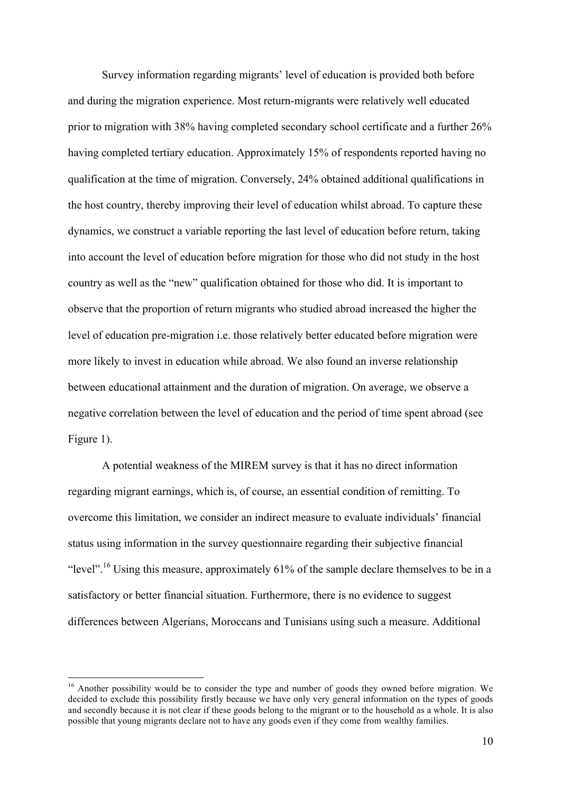Survey information regarding migrants' level of education is provided both before and during the migration experience. Most return-migrants were relatively well educated prior to migration with 38% having completed secondary school certificate and a further 26% having completed tertiary education. Approximately 15% of respondents reported having no qualification at the time of migration. Conversely, 24% obtained additional qualifications in the host country, thereby improving their level of education whilst abroad. To capture these dynamics, we construct a variable reporting the last level of education before return, taking into account the level of education before migration for those who did not study in the host country as well as the "new" qualification obtained for those who did. It is important to observe that the proportion of return migrants who studied abroad increased the higher the level of education pre-migration i.e. those relatively better educated before migration were more likely to invest in education while abroad. We also found an inverse relationship between educational attainment and the duration of migration. On average, we observe a negative correlation between the level of education and the period of time spent abroad (see Figure 1).

A potential weakness of the MIREM survey is that it has no direct information regarding migrant earnings, which is, of course, an essential condition of remitting. To overcome this limitation, we consider an indirect measure to evaluate individuals' financial status using information in the survey questionnaire regarding their subjective financial "level".<sup>16</sup> Using this measure, approximately  $61\%$  of the sample declare themselves to be in a satisfactory or better financial situation. Furthermore, there is no evidence to suggest differences between Algerians, Moroccans and Tunisians using such a measure. Additional

<sup>&</sup>lt;sup>16</sup> Another possibility would be to consider the type and number of goods they owned before migration. We decided to exclude this possibility firstly because we have only very general information on the types of goods and secondly because it is not clear if these goods belong to the migrant or to the household as a whole. It is also possible that young migrants declare not to have any goods even if they come from wealthy families.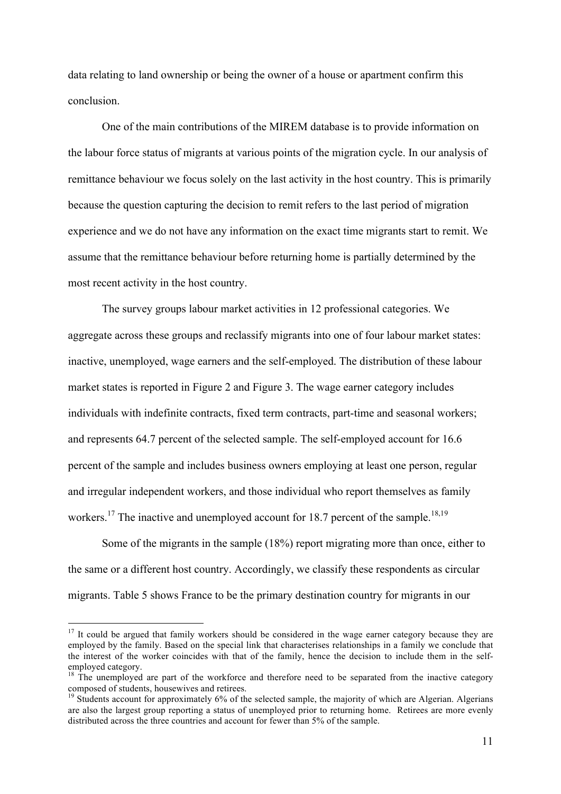data relating to land ownership or being the owner of a house or apartment confirm this conclusion.

One of the main contributions of the MIREM database is to provide information on the labour force status of migrants at various points of the migration cycle. In our analysis of remittance behaviour we focus solely on the last activity in the host country. This is primarily because the question capturing the decision to remit refers to the last period of migration experience and we do not have any information on the exact time migrants start to remit. We assume that the remittance behaviour before returning home is partially determined by the most recent activity in the host country.

The survey groups labour market activities in 12 professional categories. We aggregate across these groups and reclassify migrants into one of four labour market states: inactive, unemployed, wage earners and the self-employed. The distribution of these labour market states is reported in Figure 2 and Figure 3. The wage earner category includes individuals with indefinite contracts, fixed term contracts, part-time and seasonal workers; and represents 64.7 percent of the selected sample. The self-employed account for 16.6 percent of the sample and includes business owners employing at least one person, regular and irregular independent workers, and those individual who report themselves as family workers.<sup>17</sup> The inactive and unemployed account for 18.7 percent of the sample.<sup>18,19</sup>

Some of the migrants in the sample (18%) report migrating more than once, either to the same or a different host country. Accordingly, we classify these respondents as circular migrants. Table 5 shows France to be the primary destination country for migrants in our

 $17$  It could be argued that family workers should be considered in the wage earner category because they are employed by the family. Based on the special link that characterises relationships in a family we conclude that the interest of the worker coincides with that of the family, hence the decision to include them in the self-

employed category.<br><sup>18</sup> The unemployed are part of the workforce and therefore need to be separated from the inactive category composed of students, housewives and retirees.

 $19$  Students account for approximately 6% of the selected sample, the majority of which are Algerian. Algerians are also the largest group reporting a status of unemployed prior to returning home. Retirees are more evenly distributed across the three countries and account for fewer than 5% of the sample.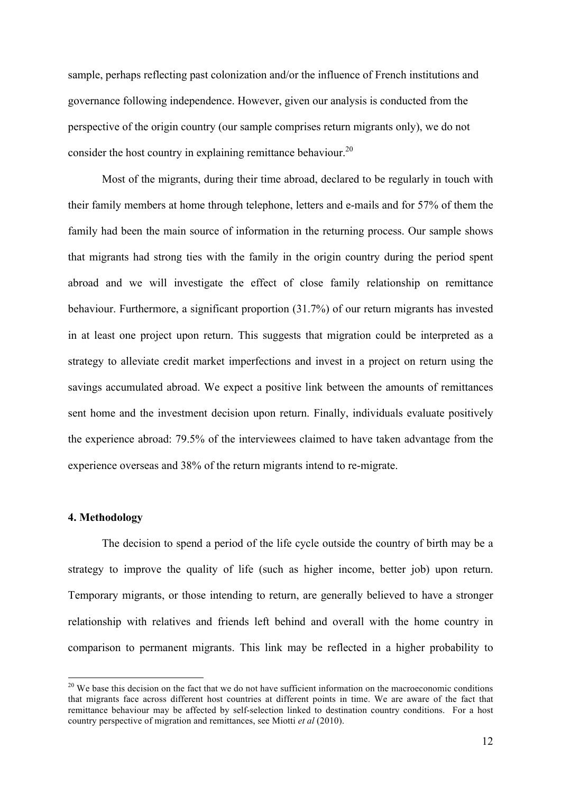sample, perhaps reflecting past colonization and/or the influence of French institutions and governance following independence. However, given our analysis is conducted from the perspective of the origin country (our sample comprises return migrants only), we do not consider the host country in explaining remittance behaviour.<sup>20</sup>

Most of the migrants, during their time abroad, declared to be regularly in touch with their family members at home through telephone, letters and e-mails and for 57% of them the family had been the main source of information in the returning process. Our sample shows that migrants had strong ties with the family in the origin country during the period spent abroad and we will investigate the effect of close family relationship on remittance behaviour. Furthermore, a significant proportion (31.7%) of our return migrants has invested in at least one project upon return. This suggests that migration could be interpreted as a strategy to alleviate credit market imperfections and invest in a project on return using the savings accumulated abroad. We expect a positive link between the amounts of remittances sent home and the investment decision upon return. Finally, individuals evaluate positively the experience abroad: 79.5% of the interviewees claimed to have taken advantage from the experience overseas and 38% of the return migrants intend to re-migrate.

#### **4. Methodology**

The decision to spend a period of the life cycle outside the country of birth may be a strategy to improve the quality of life (such as higher income, better job) upon return. Temporary migrants, or those intending to return, are generally believed to have a stronger relationship with relatives and friends left behind and overall with the home country in comparison to permanent migrants. This link may be reflected in a higher probability to

<sup>&</sup>lt;sup>20</sup> We base this decision on the fact that we do not have sufficient information on the macroeconomic conditions that migrants face across different host countries at different points in time. We are aware of the fact that remittance behaviour may be affected by self-selection linked to destination country conditions. For a host country perspective of migration and remittances, see Miotti *et al* (2010).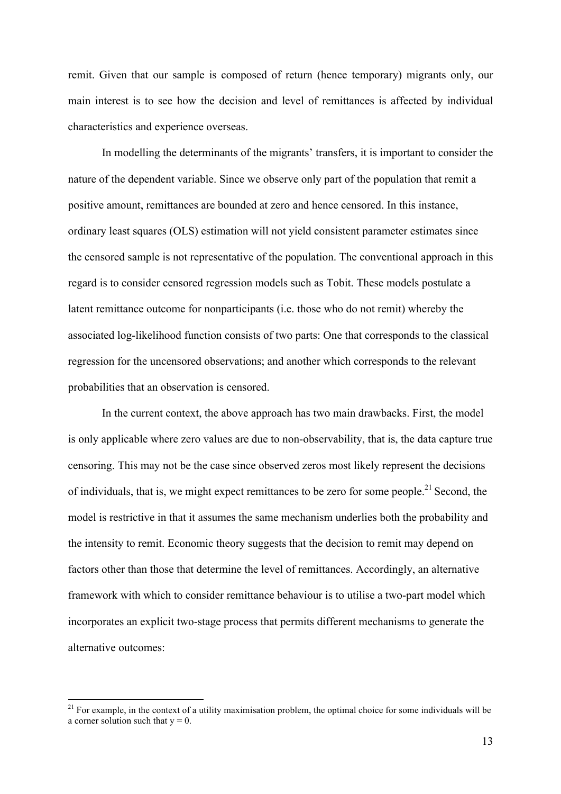remit. Given that our sample is composed of return (hence temporary) migrants only, our main interest is to see how the decision and level of remittances is affected by individual characteristics and experience overseas.

In modelling the determinants of the migrants' transfers, it is important to consider the nature of the dependent variable. Since we observe only part of the population that remit a positive amount, remittances are bounded at zero and hence censored. In this instance, ordinary least squares (OLS) estimation will not yield consistent parameter estimates since the censored sample is not representative of the population. The conventional approach in this regard is to consider censored regression models such as Tobit. These models postulate a latent remittance outcome for nonparticipants (i.e. those who do not remit) whereby the associated log-likelihood function consists of two parts: One that corresponds to the classical regression for the uncensored observations; and another which corresponds to the relevant probabilities that an observation is censored.

In the current context, the above approach has two main drawbacks. First, the model is only applicable where zero values are due to non-observability, that is, the data capture true censoring. This may not be the case since observed zeros most likely represent the decisions of individuals, that is, we might expect remittances to be zero for some people.<sup>21</sup> Second, the model is restrictive in that it assumes the same mechanism underlies both the probability and the intensity to remit. Economic theory suggests that the decision to remit may depend on factors other than those that determine the level of remittances. Accordingly, an alternative framework with which to consider remittance behaviour is to utilise a two-part model which incorporates an explicit two-stage process that permits different mechanisms to generate the alternative outcomes:

 $21$  For example, in the context of a utility maximisation problem, the optimal choice for some individuals will be a corner solution such that  $y = 0$ .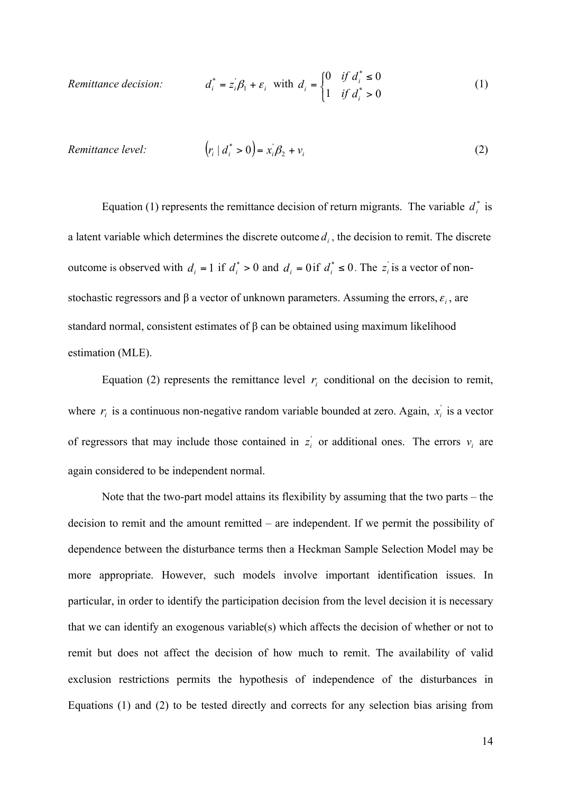$R$ *emittance decision:*  $i = z_i \beta_1 + \varepsilon_i$  with 0 0 1 0 \* \* > ≤  $\mathsf{l}$  $=\bigg\{$ *i i*  $\int$ <sup>*i*</sup>  $\int$  *d if d d if*  $d_i = \begin{cases} 0 & \text{if } d_i^* \le 0 \\ 1 & \text{if } d_i^* \end{cases}$  (1)

*Remittance level:* 
$$
(r_i | d_i^* > 0) = x_i \beta_2 + v_i
$$
 (2)

Equation (1) represents the remittance decision of return migrants. The variable  $d_i^*$  is a latent variable which determines the discrete outcome  $d_i$ , the decision to remit. The discrete outcome is observed with  $d_i = 1$  if  $d_i^* > 0$  and  $d_i = 0$  if  $d_i^* \le 0$ . The  $z_i$  is a vector of nonstochastic regressors and  $\beta$  a vector of unknown parameters. Assuming the errors,  $\varepsilon_i$ , are standard normal, consistent estimates of β can be obtained using maximum likelihood estimation (MLE).

Equation (2) represents the remittance level  $r_i$  conditional on the decision to remit, where  $r_i$  is a continuous non-negative random variable bounded at zero. Again,  $x_i$  is a vector of regressors that may include those contained in  $z_i$  or additional ones. The errors  $v_i$  are again considered to be independent normal.

Note that the two-part model attains its flexibility by assuming that the two parts – the decision to remit and the amount remitted – are independent. If we permit the possibility of dependence between the disturbance terms then a Heckman Sample Selection Model may be more appropriate. However, such models involve important identification issues. In particular, in order to identify the participation decision from the level decision it is necessary that we can identify an exogenous variable(s) which affects the decision of whether or not to remit but does not affect the decision of how much to remit. The availability of valid exclusion restrictions permits the hypothesis of independence of the disturbances in Equations (1) and (2) to be tested directly and corrects for any selection bias arising from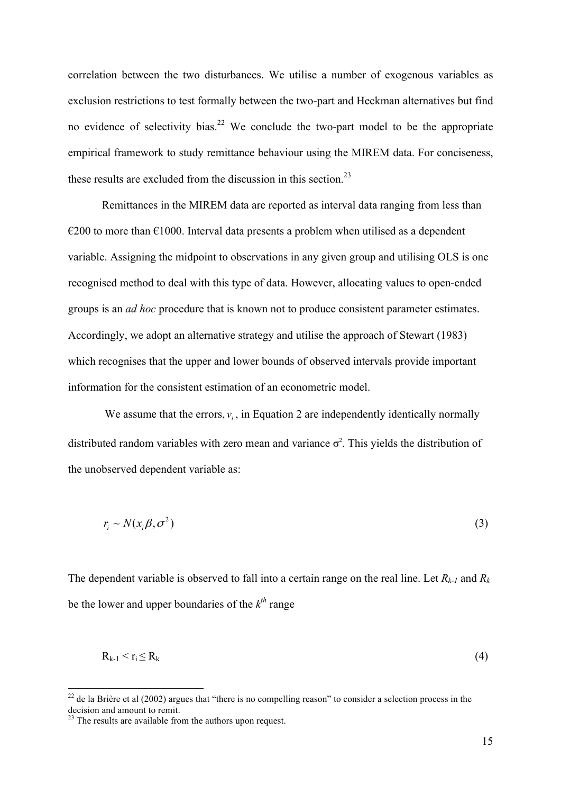correlation between the two disturbances. We utilise a number of exogenous variables as exclusion restrictions to test formally between the two-part and Heckman alternatives but find no evidence of selectivity bias.<sup>22</sup> We conclude the two-part model to be the appropriate empirical framework to study remittance behaviour using the MIREM data. For conciseness, these results are excluded from the discussion in this section.<sup>23</sup>

Remittances in the MIREM data are reported as interval data ranging from less than  $\epsilon$ 200 to more than  $\epsilon$ 1000. Interval data presents a problem when utilised as a dependent variable. Assigning the midpoint to observations in any given group and utilising OLS is one recognised method to deal with this type of data. However, allocating values to open-ended groups is an *ad hoc* procedure that is known not to produce consistent parameter estimates. Accordingly, we adopt an alternative strategy and utilise the approach of Stewart (1983) which recognises that the upper and lower bounds of observed intervals provide important information for the consistent estimation of an econometric model.

We assume that the errors,  $v_i$ , in Equation 2 are independently identically normally distributed random variables with zero mean and variance  $\sigma^2$ . This yields the distribution of the unobserved dependent variable as:

$$
r_i \sim N(x_i \beta, \sigma^2) \tag{3}
$$

The dependent variable is observed to fall into a certain range on the real line. Let  $R_{k-1}$  and  $R_k$ be the lower and upper boundaries of the  $k^{th}$  range

$$
R_{k-1} < r_i \le R_k \tag{4}
$$

<sup>&</sup>lt;sup>22</sup> de la Brière et al (2002) argues that "there is no compelling reason" to consider a selection process in the decision and amount to remit.<br><sup>23</sup> The results are available from the authors upon request.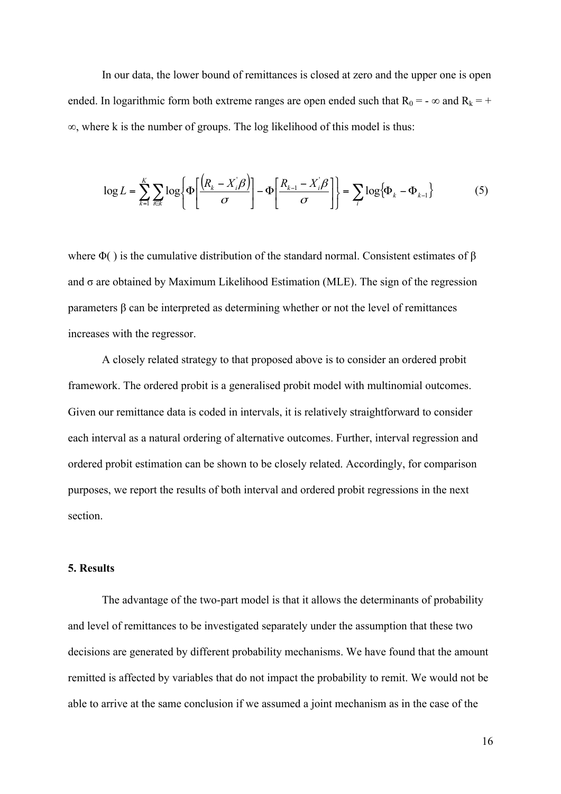In our data, the lower bound of remittances is closed at zero and the upper one is open ended. In logarithmic form both extreme ranges are open ended such that  $R_0 = -\infty$  and  $R_k = +$ ∞, where k is the number of groups. The log likelihood of this model is thus:

$$
\log L = \sum_{k=1}^{K} \sum_{i \in \mathcal{K}} \log \left\{ \Phi \left[ \frac{\left( R_{k} - X_{i} \beta \right)}{\sigma} \right] - \Phi \left[ \frac{R_{k-1} - X_{i} \beta}{\sigma} \right] \right\} = \sum_{i} \log \left\{ \Phi_{k} - \Phi_{k-1} \right\}
$$
(5)

where  $\Phi$ () is the cumulative distribution of the standard normal. Consistent estimates of  $\beta$ and  $\sigma$  are obtained by Maximum Likelihood Estimation (MLE). The sign of the regression parameters β can be interpreted as determining whether or not the level of remittances increases with the regressor.

A closely related strategy to that proposed above is to consider an ordered probit framework. The ordered probit is a generalised probit model with multinomial outcomes. Given our remittance data is coded in intervals, it is relatively straightforward to consider each interval as a natural ordering of alternative outcomes. Further, interval regression and ordered probit estimation can be shown to be closely related. Accordingly, for comparison purposes, we report the results of both interval and ordered probit regressions in the next section.

#### **5. Results**

The advantage of the two-part model is that it allows the determinants of probability and level of remittances to be investigated separately under the assumption that these two decisions are generated by different probability mechanisms. We have found that the amount remitted is affected by variables that do not impact the probability to remit. We would not be able to arrive at the same conclusion if we assumed a joint mechanism as in the case of the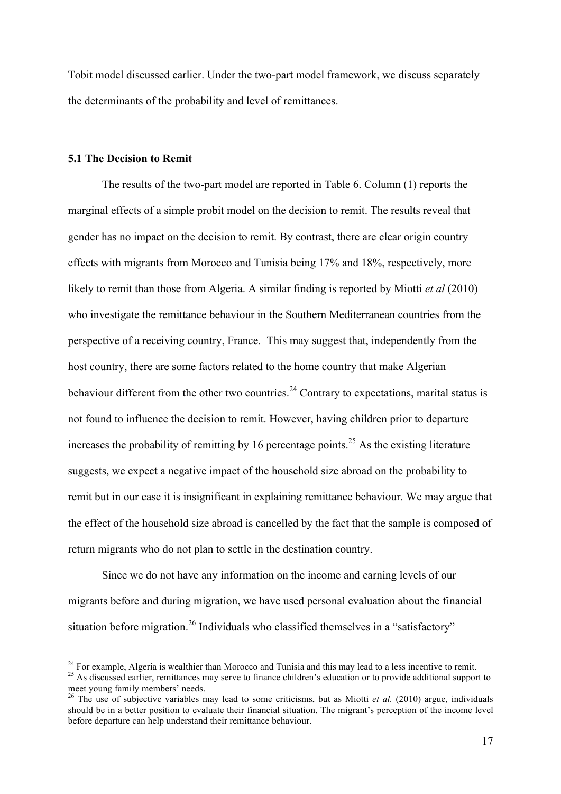Tobit model discussed earlier. Under the two-part model framework, we discuss separately the determinants of the probability and level of remittances.

#### **5.1 The Decision to Remit**

The results of the two-part model are reported in Table 6. Column (1) reports the marginal effects of a simple probit model on the decision to remit. The results reveal that gender has no impact on the decision to remit. By contrast, there are clear origin country effects with migrants from Morocco and Tunisia being 17% and 18%, respectively, more likely to remit than those from Algeria. A similar finding is reported by Miotti *et al* (2010) who investigate the remittance behaviour in the Southern Mediterranean countries from the perspective of a receiving country, France. This may suggest that, independently from the host country, there are some factors related to the home country that make Algerian behaviour different from the other two countries.<sup>24</sup> Contrary to expectations, marital status is not found to influence the decision to remit. However, having children prior to departure increases the probability of remitting by 16 percentage points.<sup>25</sup> As the existing literature suggests, we expect a negative impact of the household size abroad on the probability to remit but in our case it is insignificant in explaining remittance behaviour. We may argue that the effect of the household size abroad is cancelled by the fact that the sample is composed of return migrants who do not plan to settle in the destination country.

Since we do not have any information on the income and earning levels of our migrants before and during migration, we have used personal evaluation about the financial situation before migration.<sup>26</sup> Individuals who classified themselves in a "satisfactory"

<sup>&</sup>lt;sup>24</sup> For example, Algeria is wealthier than Morocco and Tunisia and this may lead to a less incentive to remit.  $25$  As discussed earlier, remittances may serve to finance children's education or to provide additional sup meet young family members' needs.

<sup>&</sup>lt;sup>26</sup> The use of subjective variables may lead to some criticisms, but as Miotti *et al.* (2010) argue, individuals should be in a better position to evaluate their financial situation. The migrant's perception of the income level before departure can help understand their remittance behaviour.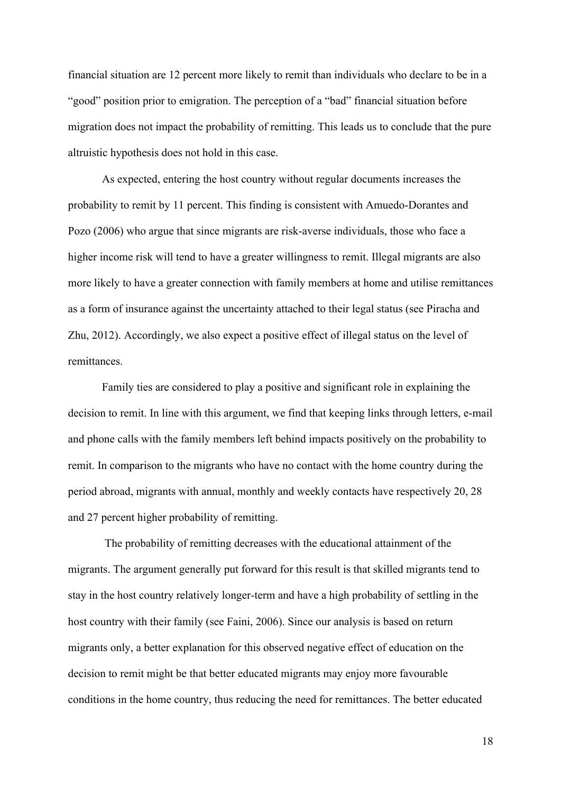financial situation are 12 percent more likely to remit than individuals who declare to be in a "good" position prior to emigration. The perception of a "bad" financial situation before migration does not impact the probability of remitting. This leads us to conclude that the pure altruistic hypothesis does not hold in this case.

As expected, entering the host country without regular documents increases the probability to remit by 11 percent. This finding is consistent with Amuedo-Dorantes and Pozo (2006) who argue that since migrants are risk-averse individuals, those who face a higher income risk will tend to have a greater willingness to remit. Illegal migrants are also more likely to have a greater connection with family members at home and utilise remittances as a form of insurance against the uncertainty attached to their legal status (see Piracha and Zhu, 2012). Accordingly, we also expect a positive effect of illegal status on the level of remittances.

Family ties are considered to play a positive and significant role in explaining the decision to remit. In line with this argument, we find that keeping links through letters, e-mail and phone calls with the family members left behind impacts positively on the probability to remit. In comparison to the migrants who have no contact with the home country during the period abroad, migrants with annual, monthly and weekly contacts have respectively 20, 28 and 27 percent higher probability of remitting.

The probability of remitting decreases with the educational attainment of the migrants. The argument generally put forward for this result is that skilled migrants tend to stay in the host country relatively longer-term and have a high probability of settling in the host country with their family (see Faini, 2006). Since our analysis is based on return migrants only, a better explanation for this observed negative effect of education on the decision to remit might be that better educated migrants may enjoy more favourable conditions in the home country, thus reducing the need for remittances. The better educated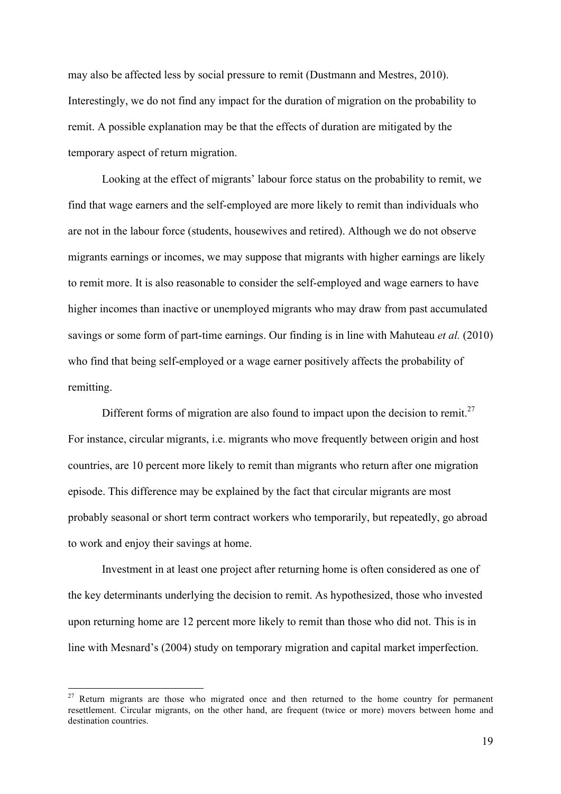may also be affected less by social pressure to remit (Dustmann and Mestres, 2010). Interestingly, we do not find any impact for the duration of migration on the probability to remit. A possible explanation may be that the effects of duration are mitigated by the temporary aspect of return migration.

Looking at the effect of migrants' labour force status on the probability to remit, we find that wage earners and the self-employed are more likely to remit than individuals who are not in the labour force (students, housewives and retired). Although we do not observe migrants earnings or incomes, we may suppose that migrants with higher earnings are likely to remit more. It is also reasonable to consider the self-employed and wage earners to have higher incomes than inactive or unemployed migrants who may draw from past accumulated savings or some form of part-time earnings. Our finding is in line with Mahuteau *et al.* (2010) who find that being self-employed or a wage earner positively affects the probability of remitting.

Different forms of migration are also found to impact upon the decision to remit.<sup>27</sup> For instance, circular migrants, i.e. migrants who move frequently between origin and host countries, are 10 percent more likely to remit than migrants who return after one migration episode. This difference may be explained by the fact that circular migrants are most probably seasonal or short term contract workers who temporarily, but repeatedly, go abroad to work and enjoy their savings at home.

Investment in at least one project after returning home is often considered as one of the key determinants underlying the decision to remit. As hypothesized, those who invested upon returning home are 12 percent more likely to remit than those who did not. This is in line with Mesnard's (2004) study on temporary migration and capital market imperfection.

 $27$  Return migrants are those who migrated once and then returned to the home country for permanent resettlement. Circular migrants, on the other hand, are frequent (twice or more) movers between home and destination countries.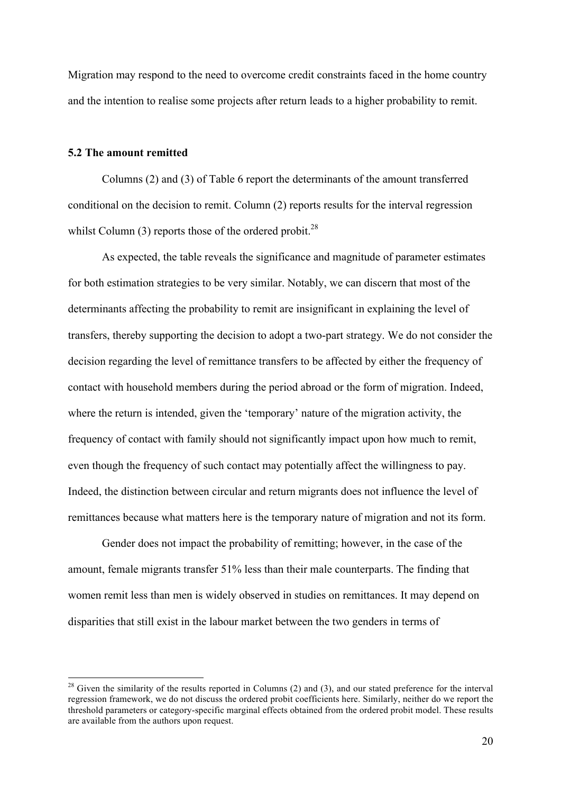Migration may respond to the need to overcome credit constraints faced in the home country and the intention to realise some projects after return leads to a higher probability to remit.

#### **5.2 The amount remitted**

Columns (2) and (3) of Table 6 report the determinants of the amount transferred conditional on the decision to remit. Column (2) reports results for the interval regression whilst Column  $(3)$  reports those of the ordered probit.<sup>28</sup>

As expected, the table reveals the significance and magnitude of parameter estimates for both estimation strategies to be very similar. Notably, we can discern that most of the determinants affecting the probability to remit are insignificant in explaining the level of transfers, thereby supporting the decision to adopt a two-part strategy. We do not consider the decision regarding the level of remittance transfers to be affected by either the frequency of contact with household members during the period abroad or the form of migration. Indeed, where the return is intended, given the 'temporary' nature of the migration activity, the frequency of contact with family should not significantly impact upon how much to remit, even though the frequency of such contact may potentially affect the willingness to pay. Indeed, the distinction between circular and return migrants does not influence the level of remittances because what matters here is the temporary nature of migration and not its form.

Gender does not impact the probability of remitting; however, in the case of the amount, female migrants transfer 51% less than their male counterparts. The finding that women remit less than men is widely observed in studies on remittances. It may depend on disparities that still exist in the labour market between the two genders in terms of

 $^{28}$  Given the similarity of the results reported in Columns (2) and (3), and our stated preference for the interval regression framework, we do not discuss the ordered probit coefficients here. Similarly, neither do we report the threshold parameters or category-specific marginal effects obtained from the ordered probit model. These results are available from the authors upon request.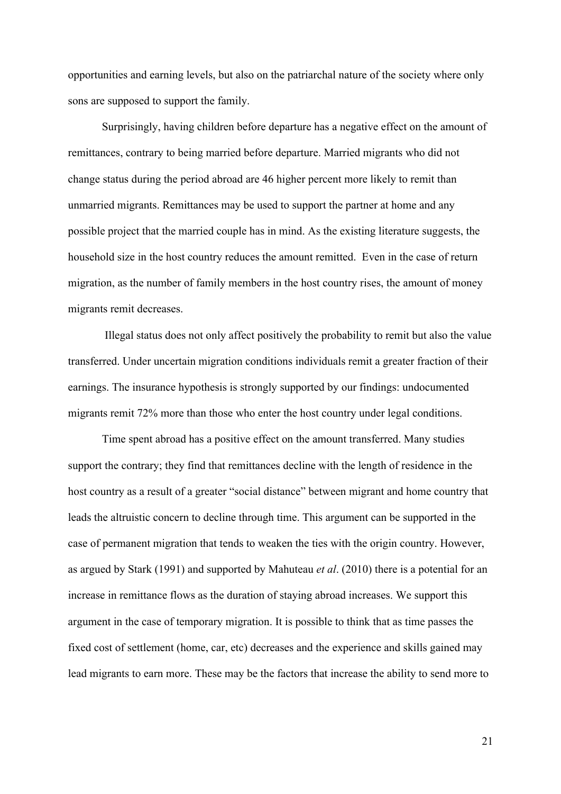opportunities and earning levels, but also on the patriarchal nature of the society where only sons are supposed to support the family.

Surprisingly, having children before departure has a negative effect on the amount of remittances, contrary to being married before departure. Married migrants who did not change status during the period abroad are 46 higher percent more likely to remit than unmarried migrants. Remittances may be used to support the partner at home and any possible project that the married couple has in mind. As the existing literature suggests, the household size in the host country reduces the amount remitted. Even in the case of return migration, as the number of family members in the host country rises, the amount of money migrants remit decreases.

Illegal status does not only affect positively the probability to remit but also the value transferred. Under uncertain migration conditions individuals remit a greater fraction of their earnings. The insurance hypothesis is strongly supported by our findings: undocumented migrants remit 72% more than those who enter the host country under legal conditions.

Time spent abroad has a positive effect on the amount transferred. Many studies support the contrary; they find that remittances decline with the length of residence in the host country as a result of a greater "social distance" between migrant and home country that leads the altruistic concern to decline through time. This argument can be supported in the case of permanent migration that tends to weaken the ties with the origin country. However, as argued by Stark (1991) and supported by Mahuteau *et al*. (2010) there is a potential for an increase in remittance flows as the duration of staying abroad increases. We support this argument in the case of temporary migration. It is possible to think that as time passes the fixed cost of settlement (home, car, etc) decreases and the experience and skills gained may lead migrants to earn more. These may be the factors that increase the ability to send more to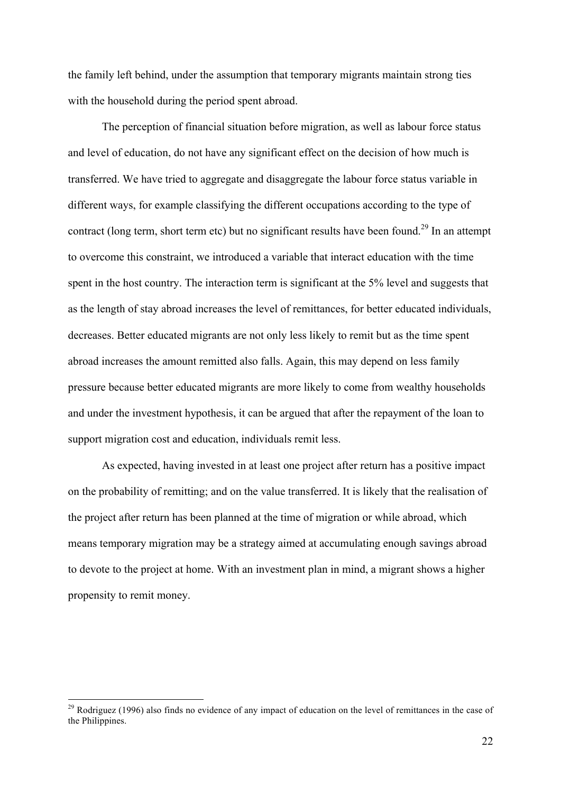the family left behind, under the assumption that temporary migrants maintain strong ties with the household during the period spent abroad.

The perception of financial situation before migration, as well as labour force status and level of education, do not have any significant effect on the decision of how much is transferred. We have tried to aggregate and disaggregate the labour force status variable in different ways, for example classifying the different occupations according to the type of contract (long term, short term etc) but no significant results have been found.<sup>29</sup> In an attempt to overcome this constraint, we introduced a variable that interact education with the time spent in the host country. The interaction term is significant at the 5% level and suggests that as the length of stay abroad increases the level of remittances, for better educated individuals, decreases. Better educated migrants are not only less likely to remit but as the time spent abroad increases the amount remitted also falls. Again, this may depend on less family pressure because better educated migrants are more likely to come from wealthy households and under the investment hypothesis, it can be argued that after the repayment of the loan to support migration cost and education, individuals remit less.

As expected, having invested in at least one project after return has a positive impact on the probability of remitting; and on the value transferred. It is likely that the realisation of the project after return has been planned at the time of migration or while abroad, which means temporary migration may be a strategy aimed at accumulating enough savings abroad to devote to the project at home. With an investment plan in mind, a migrant shows a higher propensity to remit money.

<sup>&</sup>lt;sup>29</sup> Rodriguez (1996) also finds no evidence of any impact of education on the level of remittances in the case of the Philippines.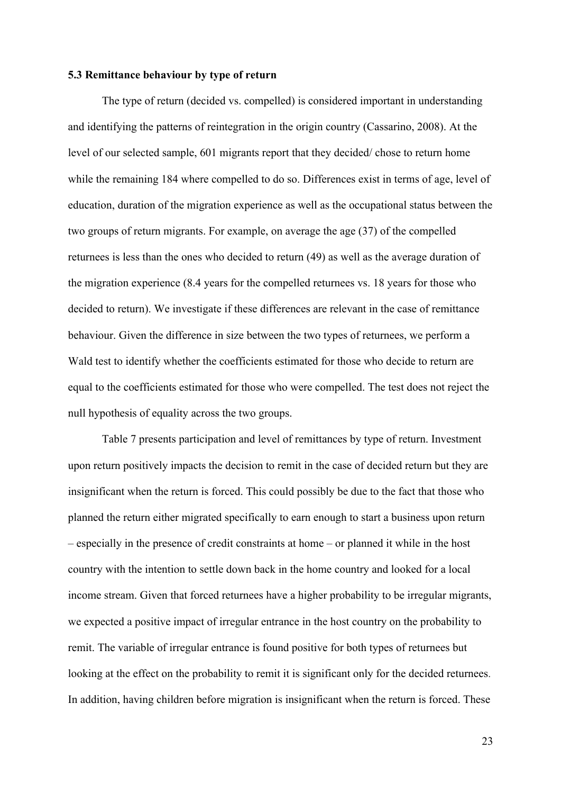#### **5.3 Remittance behaviour by type of return**

The type of return (decided vs. compelled) is considered important in understanding and identifying the patterns of reintegration in the origin country (Cassarino, 2008). At the level of our selected sample, 601 migrants report that they decided/ chose to return home while the remaining 184 where compelled to do so. Differences exist in terms of age, level of education, duration of the migration experience as well as the occupational status between the two groups of return migrants. For example, on average the age (37) of the compelled returnees is less than the ones who decided to return (49) as well as the average duration of the migration experience (8.4 years for the compelled returnees vs. 18 years for those who decided to return). We investigate if these differences are relevant in the case of remittance behaviour. Given the difference in size between the two types of returnees, we perform a Wald test to identify whether the coefficients estimated for those who decide to return are equal to the coefficients estimated for those who were compelled. The test does not reject the null hypothesis of equality across the two groups.

Table 7 presents participation and level of remittances by type of return. Investment upon return positively impacts the decision to remit in the case of decided return but they are insignificant when the return is forced. This could possibly be due to the fact that those who planned the return either migrated specifically to earn enough to start a business upon return – especially in the presence of credit constraints at home – or planned it while in the host country with the intention to settle down back in the home country and looked for a local income stream. Given that forced returnees have a higher probability to be irregular migrants, we expected a positive impact of irregular entrance in the host country on the probability to remit. The variable of irregular entrance is found positive for both types of returnees but looking at the effect on the probability to remit it is significant only for the decided returnees. In addition, having children before migration is insignificant when the return is forced. These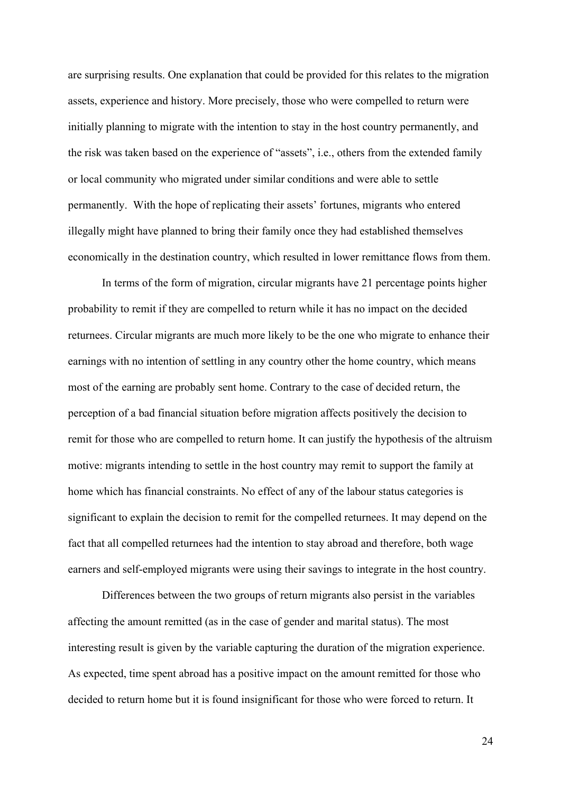are surprising results. One explanation that could be provided for this relates to the migration assets, experience and history. More precisely, those who were compelled to return were initially planning to migrate with the intention to stay in the host country permanently, and the risk was taken based on the experience of "assets", i.e., others from the extended family or local community who migrated under similar conditions and were able to settle permanently. With the hope of replicating their assets' fortunes, migrants who entered illegally might have planned to bring their family once they had established themselves economically in the destination country, which resulted in lower remittance flows from them.

In terms of the form of migration, circular migrants have 21 percentage points higher probability to remit if they are compelled to return while it has no impact on the decided returnees. Circular migrants are much more likely to be the one who migrate to enhance their earnings with no intention of settling in any country other the home country, which means most of the earning are probably sent home. Contrary to the case of decided return, the perception of a bad financial situation before migration affects positively the decision to remit for those who are compelled to return home. It can justify the hypothesis of the altruism motive: migrants intending to settle in the host country may remit to support the family at home which has financial constraints. No effect of any of the labour status categories is significant to explain the decision to remit for the compelled returnees. It may depend on the fact that all compelled returnees had the intention to stay abroad and therefore, both wage earners and self-employed migrants were using their savings to integrate in the host country.

Differences between the two groups of return migrants also persist in the variables affecting the amount remitted (as in the case of gender and marital status). The most interesting result is given by the variable capturing the duration of the migration experience. As expected, time spent abroad has a positive impact on the amount remitted for those who decided to return home but it is found insignificant for those who were forced to return. It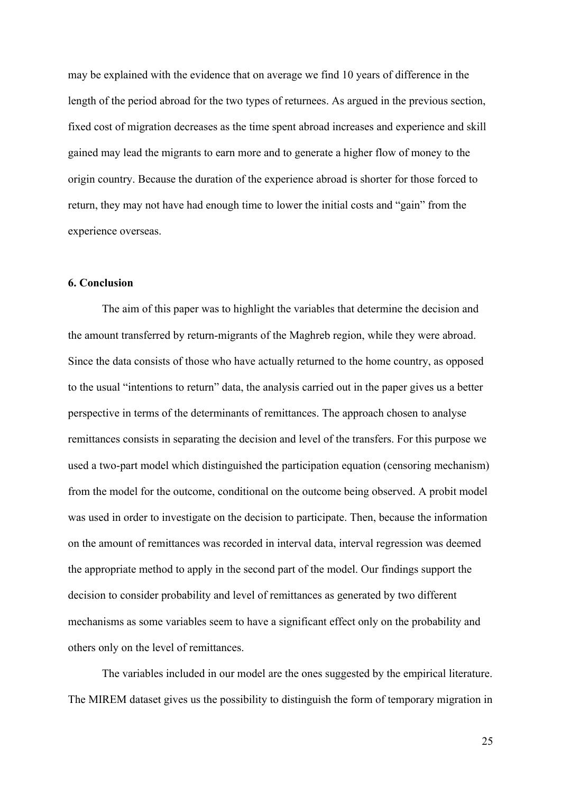may be explained with the evidence that on average we find 10 years of difference in the length of the period abroad for the two types of returnees. As argued in the previous section, fixed cost of migration decreases as the time spent abroad increases and experience and skill gained may lead the migrants to earn more and to generate a higher flow of money to the origin country. Because the duration of the experience abroad is shorter for those forced to return, they may not have had enough time to lower the initial costs and "gain" from the experience overseas.

## **6. Conclusion**

The aim of this paper was to highlight the variables that determine the decision and the amount transferred by return-migrants of the Maghreb region, while they were abroad. Since the data consists of those who have actually returned to the home country, as opposed to the usual "intentions to return" data, the analysis carried out in the paper gives us a better perspective in terms of the determinants of remittances. The approach chosen to analyse remittances consists in separating the decision and level of the transfers. For this purpose we used a two-part model which distinguished the participation equation (censoring mechanism) from the model for the outcome, conditional on the outcome being observed. A probit model was used in order to investigate on the decision to participate. Then, because the information on the amount of remittances was recorded in interval data, interval regression was deemed the appropriate method to apply in the second part of the model. Our findings support the decision to consider probability and level of remittances as generated by two different mechanisms as some variables seem to have a significant effect only on the probability and others only on the level of remittances.

The variables included in our model are the ones suggested by the empirical literature. The MIREM dataset gives us the possibility to distinguish the form of temporary migration in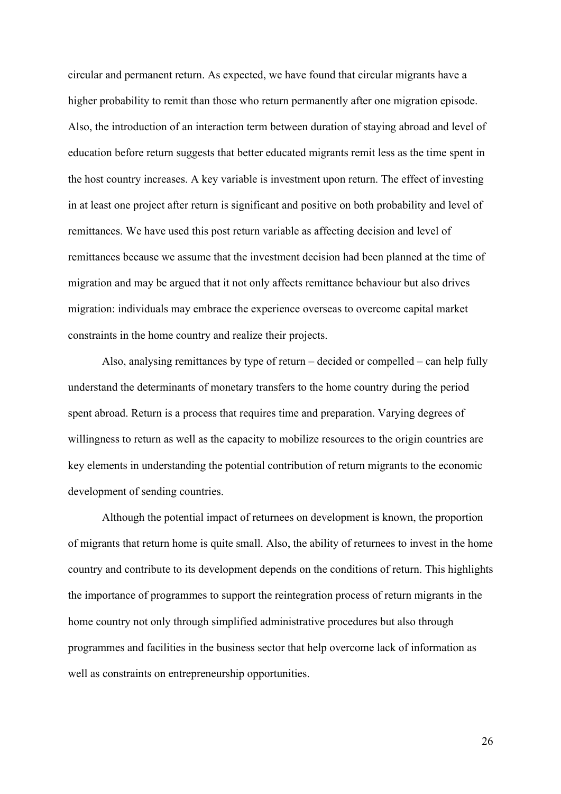circular and permanent return. As expected, we have found that circular migrants have a higher probability to remit than those who return permanently after one migration episode. Also, the introduction of an interaction term between duration of staying abroad and level of education before return suggests that better educated migrants remit less as the time spent in the host country increases. A key variable is investment upon return. The effect of investing in at least one project after return is significant and positive on both probability and level of remittances. We have used this post return variable as affecting decision and level of remittances because we assume that the investment decision had been planned at the time of migration and may be argued that it not only affects remittance behaviour but also drives migration: individuals may embrace the experience overseas to overcome capital market constraints in the home country and realize their projects.

Also, analysing remittances by type of return – decided or compelled – can help fully understand the determinants of monetary transfers to the home country during the period spent abroad. Return is a process that requires time and preparation. Varying degrees of willingness to return as well as the capacity to mobilize resources to the origin countries are key elements in understanding the potential contribution of return migrants to the economic development of sending countries.

Although the potential impact of returnees on development is known, the proportion of migrants that return home is quite small. Also, the ability of returnees to invest in the home country and contribute to its development depends on the conditions of return. This highlights the importance of programmes to support the reintegration process of return migrants in the home country not only through simplified administrative procedures but also through programmes and facilities in the business sector that help overcome lack of information as well as constraints on entrepreneurship opportunities.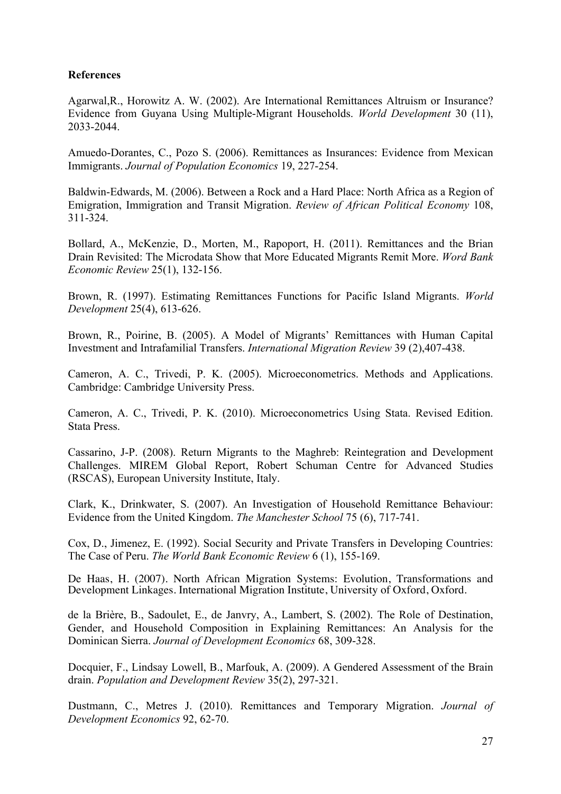## **References**

Agarwal,R., Horowitz A. W. (2002). Are International Remittances Altruism or Insurance? Evidence from Guyana Using Multiple-Migrant Households. *World Development* 30 (11), 2033-2044.

Amuedo-Dorantes, C., Pozo S. (2006). Remittances as Insurances: Evidence from Mexican Immigrants. *Journal of Population Economics* 19, 227-254.

Baldwin-Edwards, M. (2006). Between a Rock and a Hard Place: North Africa as a Region of Emigration, Immigration and Transit Migration. *Review of African Political Economy* 108, 311-324.

Bollard, A., McKenzie, D., Morten, M., Rapoport, H. (2011). Remittances and the Brian Drain Revisited: The Microdata Show that More Educated Migrants Remit More. *Word Bank Economic Review* 25(1), 132-156.

Brown, R. (1997). Estimating Remittances Functions for Pacific Island Migrants. *World Development* 25(4), 613-626.

Brown, R., Poirine, B. (2005). A Model of Migrants' Remittances with Human Capital Investment and Intrafamilial Transfers. *International Migration Review* 39 (2),407-438.

Cameron, A. C., Trivedi, P. K. (2005). Microeconometrics. Methods and Applications. Cambridge: Cambridge University Press.

Cameron, A. C., Trivedi, P. K. (2010). Microeconometrics Using Stata. Revised Edition. Stata Press.

Cassarino, J-P. (2008). Return Migrants to the Maghreb: Reintegration and Development Challenges. MIREM Global Report, Robert Schuman Centre for Advanced Studies (RSCAS), European University Institute, Italy.

Clark, K., Drinkwater, S. (2007). An Investigation of Household Remittance Behaviour: Evidence from the United Kingdom. *The Manchester School* 75 (6), 717-741.

Cox, D., Jimenez, E. (1992). Social Security and Private Transfers in Developing Countries: The Case of Peru. *The World Bank Economic Review* 6 (1), 155-169.

De Haas, H. (2007). North African Migration Systems: Evolution, Transformations and Development Linkages. International Migration Institute, University of Oxford, Oxford.

de la Brière, B., Sadoulet, E., de Janvry, A., Lambert, S. (2002). The Role of Destination, Gender, and Household Composition in Explaining Remittances: An Analysis for the Dominican Sierra. *Journal of Development Economics* 68, 309-328.

Docquier, F., Lindsay Lowell, B., Marfouk, A. (2009). A Gendered Assessment of the Brain drain. *Population and Development Review* 35(2), 297-321.

Dustmann, C., Metres J. (2010). Remittances and Temporary Migration. *Journal of Development Economics* 92, 62-70.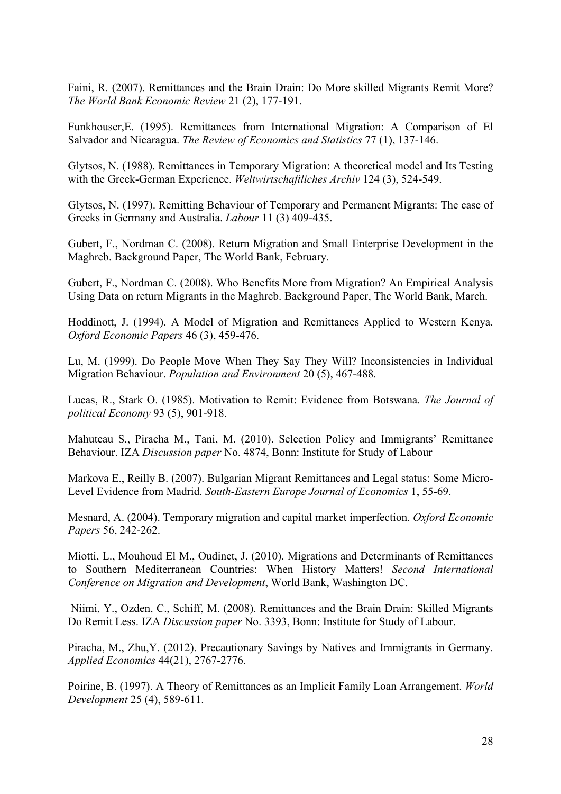Faini, R. (2007). Remittances and the Brain Drain: Do More skilled Migrants Remit More? *The World Bank Economic Review* 21 (2), 177-191.

Funkhouser,E. (1995). Remittances from International Migration: A Comparison of El Salvador and Nicaragua. *The Review of Economics and Statistics* 77 (1), 137-146.

Glytsos, N. (1988). Remittances in Temporary Migration: A theoretical model and Its Testing with the Greek-German Experience. *Weltwirtschaftliches Archiv* 124 (3), 524-549.

Glytsos, N. (1997). Remitting Behaviour of Temporary and Permanent Migrants: The case of Greeks in Germany and Australia. *Labour* 11 (3) 409-435.

Gubert, F., Nordman C. (2008). Return Migration and Small Enterprise Development in the Maghreb. Background Paper, The World Bank, February.

Gubert, F., Nordman C. (2008). Who Benefits More from Migration? An Empirical Analysis Using Data on return Migrants in the Maghreb. Background Paper, The World Bank, March.

Hoddinott, J. (1994). A Model of Migration and Remittances Applied to Western Kenya. *Oxford Economic Papers* 46 (3), 459-476.

Lu, M. (1999). Do People Move When They Say They Will? Inconsistencies in Individual Migration Behaviour. *Population and Environment* 20 (5), 467-488.

Lucas, R., Stark O. (1985). Motivation to Remit: Evidence from Botswana. *The Journal of political Economy* 93 (5), 901-918.

Mahuteau S., Piracha M., Tani, M. (2010). Selection Policy and Immigrants' Remittance Behaviour. IZA *Discussion paper* No. 4874, Bonn: Institute for Study of Labour

Markova E., Reilly B. (2007). Bulgarian Migrant Remittances and Legal status: Some Micro-Level Evidence from Madrid. *South-Eastern Europe Journal of Economics* 1, 55-69.

Mesnard, A. (2004). Temporary migration and capital market imperfection. *Oxford Economic Papers* 56, 242-262.

Miotti, L., Mouhoud El M., Oudinet, J. (2010). Migrations and Determinants of Remittances to Southern Mediterranean Countries: When History Matters! *Second International Conference on Migration and Development*, World Bank, Washington DC.

Niimi, Y., Ozden, C., Schiff, M. (2008). Remittances and the Brain Drain: Skilled Migrants Do Remit Less. IZA *Discussion paper* No. 3393, Bonn: Institute for Study of Labour.

Piracha, M., Zhu,Y. (2012). Precautionary Savings by Natives and Immigrants in Germany. *Applied Economics* 44(21), 2767-2776.

Poirine, B. (1997). A Theory of Remittances as an Implicit Family Loan Arrangement. *World Development* 25 (4), 589-611.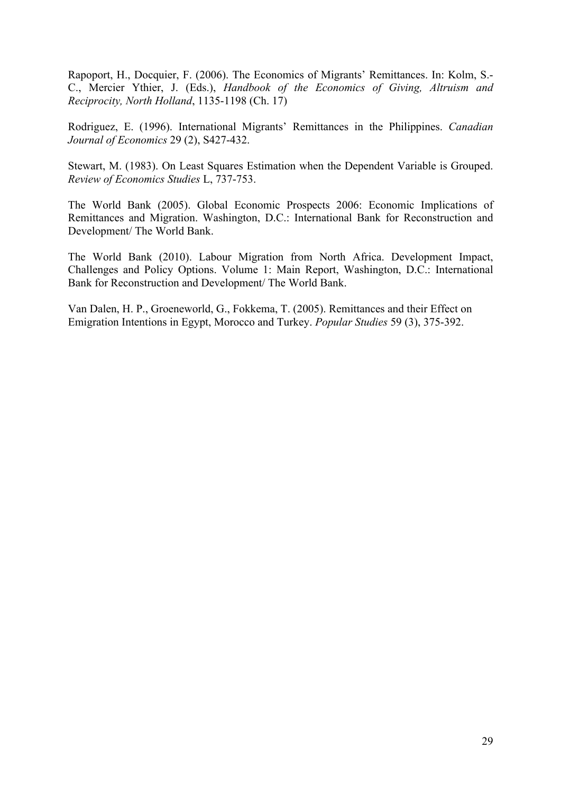Rapoport, H., Docquier, F. (2006). The Economics of Migrants' Remittances. In: Kolm, S.- C., Mercier Ythier, J. (Eds.), *Handbook of the Economics of Giving, Altruism and Reciprocity, North Holland*, 1135-1198 (Ch. 17)

Rodriguez, E. (1996). International Migrants' Remittances in the Philippines. *Canadian Journal of Economics* 29 (2), S427-432.

Stewart, M. (1983). On Least Squares Estimation when the Dependent Variable is Grouped. *Review of Economics Studies* L, 737-753.

The World Bank (2005). Global Economic Prospects 2006: Economic Implications of Remittances and Migration. Washington, D.C.: International Bank for Reconstruction and Development/ The World Bank.

The World Bank (2010). Labour Migration from North Africa. Development Impact, Challenges and Policy Options. Volume 1: Main Report, Washington, D.C.: International Bank for Reconstruction and Development/ The World Bank.

Van Dalen, H. P., Groeneworld, G., Fokkema, T. (2005). Remittances and their Effect on Emigration Intentions in Egypt, Morocco and Turkey. *Popular Studies* 59 (3), 375-392.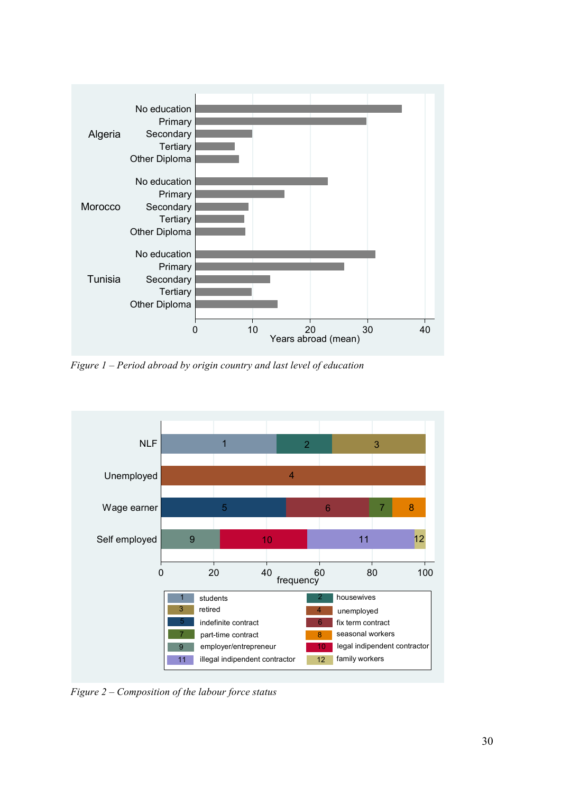

*Figure 1 – Period abroad by origin country and last level of education*



*Figure 2 – Composition of the labour force status*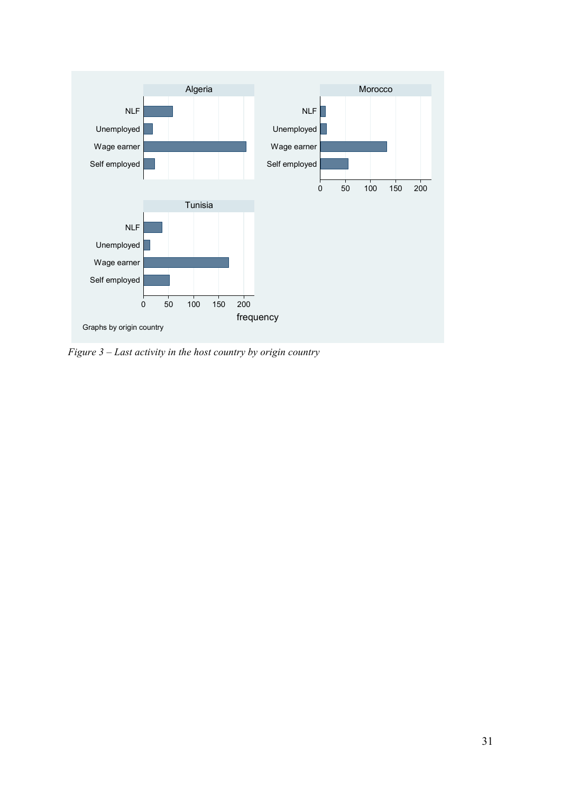

*Figure 3 – Last activity in the host country by origin country*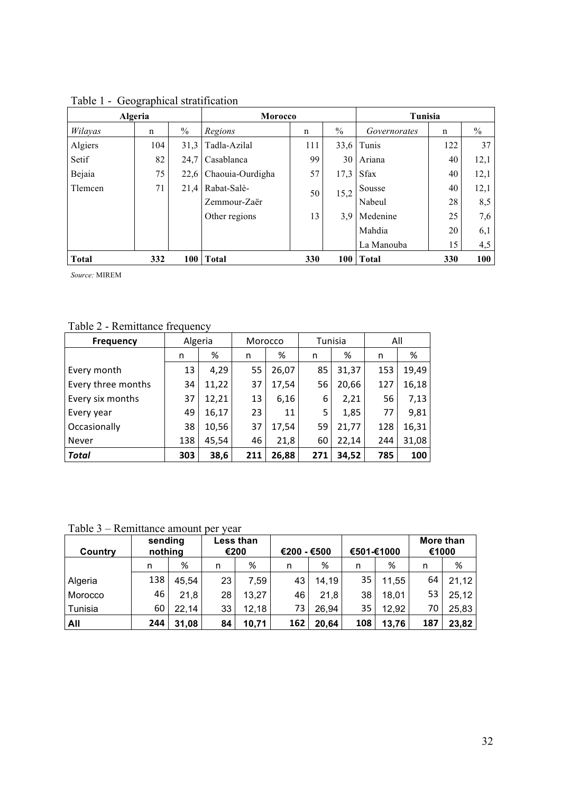| Algeria      |     |               | <b>Morocco</b>   |     |      | Tunisia      |     |               |
|--------------|-----|---------------|------------------|-----|------|--------------|-----|---------------|
| Wilayas      | n   | $\frac{0}{0}$ | Regions          | n   | $\%$ | Governorates | n   | $\frac{0}{0}$ |
| Algiers      | 104 | 31,3          | Tadla-Azilal     | 111 | 33,6 | Tunis        | 122 | 37            |
| Setif        | 82  | 24,7          | Casablanca       | 99  | 30   | Ariana       | 40  | 12,1          |
| Bejaia       | 75  | 22,6          | Chaouia-Ourdigha | 57  | 17,3 | <b>Sfax</b>  | 40  | 12,1          |
| Tlemcen      | 71  | 21,4          | Rabat-Salè-      | 50  | 15,2 | Sousse       | 40  | 12,1          |
|              |     |               | Zemmour-Zaër     |     |      | Nabeul       | 28  | 8,5           |
|              |     |               | Other regions    | 13  | 3,9  | Medenine     | 25  | 7,6           |
|              |     |               |                  |     |      | Mahdia       | 20  | 6,1           |
|              |     |               |                  |     |      | La Manouba   | 15  | 4,5           |
| <b>Total</b> | 332 | 100           | <b>Total</b>     | 330 | 100  | <b>Total</b> | 330 | 100           |

Table 1 - Geographical stratification

*Source:* MIREM

Table 2 - Remittance frequency

| <b>Frequency</b>   | Algeria |       | Morocco |       | Tunisia |       | All |       |
|--------------------|---------|-------|---------|-------|---------|-------|-----|-------|
|                    | n       | %     | n       | ℅     | n       | %     | n   | %     |
| Every month        | 13      | 4,29  | 55      | 26,07 | 85      | 31,37 | 153 | 19,49 |
| Every three months | 34      | 11,22 | 37      | 17,54 | 56      | 20,66 | 127 | 16,18 |
| Every six months   | 37      | 12,21 | 13      | 6,16  | 6       | 2,21  | 56  | 7,13  |
| Every year         | 49      | 16,17 | 23      | 11    | 5       | 1,85  | 77  | 9,81  |
| Occasionally       | 38      | 10,56 | 37      | 17,54 | 59      | 21,77 | 128 | 16,31 |
| Never              | 138     | 45,54 | 46      | 21,8  | 60      | 22,14 | 244 | 31,08 |
| <b>Total</b>       | 303     | 38,6  | 211     | 26,88 | 271     | 34,52 | 785 | 100   |

Table 3 – Remittance amount per year

| Country | sending<br>nothing |       |    | Less than<br>€200 | €200 - €500 |       | €501-€1000 |       | More than<br>€1000 |       |
|---------|--------------------|-------|----|-------------------|-------------|-------|------------|-------|--------------------|-------|
|         | n                  | %     | n  | %                 | n           | %     | n          | %     | n                  | %     |
| Algeria | 138                | 45,54 | 23 | 7,59              | 43          | 14,19 | 35         | 11,55 | 64                 | 21,12 |
| Morocco | 46                 | 21,8  | 28 | 13,27             | 46          | 21,8  | 38         | 18,01 | 53                 | 25,12 |
| Tunisia | 60                 | 22,14 | 33 | 12,18             | 73          | 26,94 | 35         | 12,92 | 70                 | 25,83 |
| All     | 244                | 31,08 | 84 | 10,71             | 162         | 20,64 | 108        | 13,76 | 187                | 23,82 |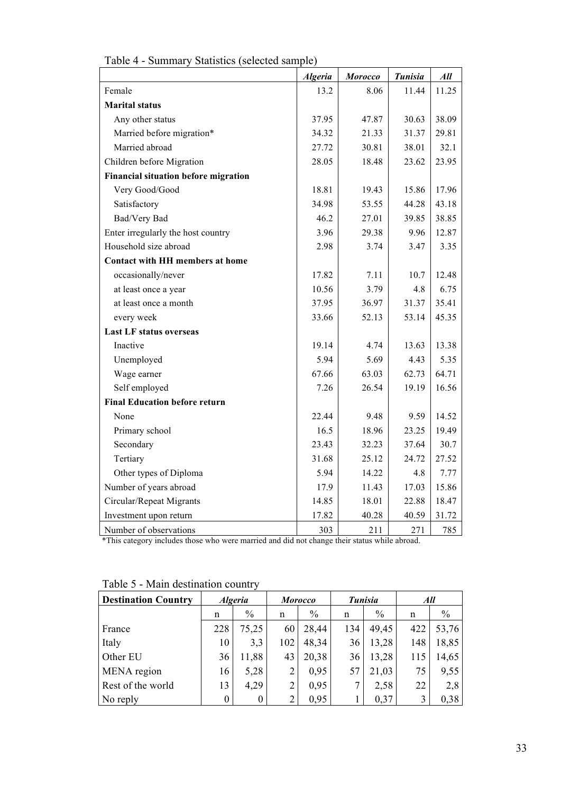|                                             | <b>Algeria</b> | <b>Morocco</b> | <b>Tunisia</b> | All   |
|---------------------------------------------|----------------|----------------|----------------|-------|
| Female                                      | 13.2           | 8.06           | 11.44          | 11.25 |
| <b>Marital status</b>                       |                |                |                |       |
| Any other status                            | 37.95          | 47.87          | 30.63          | 38.09 |
| Married before migration*                   | 34.32          | 21.33          | 31.37          | 29.81 |
| Married abroad                              | 27.72          | 30.81          | 38.01          | 32.1  |
| Children before Migration                   | 28.05          | 18.48          | 23.62          | 23.95 |
| <b>Financial situation before migration</b> |                |                |                |       |
| Very Good/Good                              | 18.81          | 19.43          | 15.86          | 17.96 |
| Satisfactory                                | 34.98          | 53.55          | 44.28          | 43.18 |
| Bad/Very Bad                                | 46.2           | 27.01          | 39.85          | 38.85 |
| Enter irregularly the host country          | 3.96           | 29.38          | 9.96           | 12.87 |
| Household size abroad                       | 2.98           | 3.74           | 3.47           | 3.35  |
| <b>Contact with HH members at home</b>      |                |                |                |       |
| occasionally/never                          | 17.82          | 7.11           | 10.7           | 12.48 |
| at least once a year                        | 10.56          | 3.79           | 4.8            | 6.75  |
| at least once a month                       | 37.95          | 36.97          | 31.37          | 35.41 |
| every week                                  | 33.66          | 52.13          | 53.14          | 45.35 |
| <b>Last LF status overseas</b>              |                |                |                |       |
| Inactive                                    | 19.14          | 4.74           | 13.63          | 13.38 |
| Unemployed                                  | 5.94           | 5.69           | 4.43           | 5.35  |
| Wage earner                                 | 67.66          | 63.03          | 62.73          | 64.71 |
| Self employed                               | 7.26           | 26.54          | 19.19          | 16.56 |
| <b>Final Education before return</b>        |                |                |                |       |
| None                                        | 22.44          | 9.48           | 9.59           | 14.52 |
| Primary school                              | 16.5           | 18.96          | 23.25          | 19.49 |
| Secondary                                   | 23.43          | 32.23          | 37.64          | 30.7  |
| Tertiary                                    | 31.68          | 25.12          | 24.72          | 27.52 |
| Other types of Diploma                      | 5.94           | 14.22          | 4.8            | 7.77  |
| Number of years abroad                      | 17.9           | 11.43          | 17.03          | 15.86 |
| Circular/Repeat Migrants                    | 14.85          | 18.01          | 22.88          | 18.47 |
| Investment upon return                      | 17.82          | 40.28          | 40.59          | 31.72 |
| Number of observations                      | 303            | 211            | 271            | 785   |

| Table 4 - Summary Statistics (selected sample) |  |  |  |  |
|------------------------------------------------|--|--|--|--|
|------------------------------------------------|--|--|--|--|

\*This category includes those who were married and did not change their status while abroad.

| <b>Destination Country</b> | <b>Algeria</b> |       |                | <b>Morocco</b> |     | <b>Tunisia</b> | All |       |
|----------------------------|----------------|-------|----------------|----------------|-----|----------------|-----|-------|
|                            | n              | $\%$  | n              | $\%$           | n   | $\frac{0}{0}$  | n   | $\%$  |
| France                     | 228            | 75,25 | 60             | 28,44          | 134 | 49,45          | 422 | 53,76 |
| Italy                      | 10             | 3,3   | 102            | 48,34          | 36  | 13,28          | 148 | 18,85 |
| Other EU                   | 36             | 11,88 | 43             | 20,38          | 36  | 13,28          | 115 | 14,65 |
| MENA region                | 16             | 5,28  |                | 0,95           | 57  | 21,03          | 75  | 9,55  |
| Rest of the world          | 13             | 4,29  | $\overline{2}$ | 0,95           |     | 2,58           | 22  | 2,8   |
| No reply                   | 0              |       |                | 0,95           |     | 0,37           | 3   | 0,38  |

Table 5 - Main destination country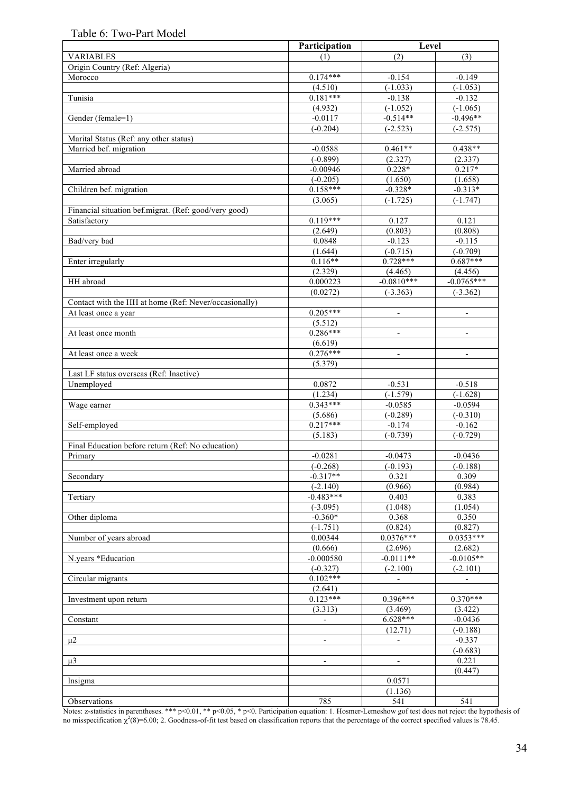## Table 6: Two-Part Model

|                                                       | Participation            | Level                        |                          |
|-------------------------------------------------------|--------------------------|------------------------------|--------------------------|
| <b>VARIABLES</b>                                      | (1)                      | (2)                          | (3)                      |
| Origin Country (Ref: Algeria)                         |                          |                              |                          |
| Morocco                                               | $0.174***$               | $-0.154$                     | $-0.149$                 |
|                                                       | (4.510)                  | $(-1.033)$                   | $(-1.053)$               |
| Tunisia                                               | $0.181***$               | $-0.138$                     | $-0.132$                 |
|                                                       | (4.932)                  | $(-1.052)$                   | $(-1.065)$               |
| Gender (female=1)                                     | $-0.0117$                | $-0.514**$                   | $-0.496**$               |
|                                                       | $(-0.204)$               | $(-2.523)$                   | $(-2.575)$               |
| Marital Status (Ref: any other status)                |                          |                              |                          |
| Married bef. migration                                | $-0.0588$                | $0.461**$                    | $0.438**$                |
|                                                       | $(-0.899)$               | (2.327)                      | (2.337)                  |
| Married abroad                                        | $-0.00946$               | $0.228*$                     | $0.217*$                 |
|                                                       | $(-0.205)$               | (1.650)                      | (1.658)                  |
| Children bef. migration                               | $0.158***$               | $-0.328*$                    | $-0.313*$                |
|                                                       | (3.065)                  | $(-1.725)$                   | $(-1.747)$               |
| Financial situation bef.migrat. (Ref: good/very good) |                          |                              |                          |
| Satisfactory                                          | $0.119***$               | 0.127                        | 0.121                    |
|                                                       | (2.649)                  | (0.803)                      | (0.808)                  |
| Bad/very bad                                          | 0.0848                   | $-0.123$                     | $-0.115$                 |
|                                                       | (1.644)                  | $(-0.715)$                   | $(-0.709)$               |
| Enter irregularly                                     | $0.116**$                | $0.728***$                   | $0.687***$               |
|                                                       | (2.329)                  | (4.465)                      | (4.456)                  |
| HH abroad                                             | 0.000223                 | $-0.0810***$                 | $-0.0765***$             |
|                                                       | (0.0272)                 | $(-3.363)$                   | $(-3.362)$               |
| Contact with the HH at home (Ref: Never/occasionally) |                          |                              |                          |
| At least once a year                                  | $0.205***$               | $\overline{\phantom{a}}$     | $\overline{\phantom{a}}$ |
|                                                       | (5.512)                  |                              |                          |
| At least once month                                   | $0.286***$               | $\overline{a}$               | $\overline{\phantom{a}}$ |
|                                                       | (6.619)                  |                              |                          |
| At least once a week                                  | $0.276***$               | $\overline{\phantom{a}}$     | $\overline{\phantom{a}}$ |
|                                                       | (5.379)                  |                              |                          |
| Last LF status overseas (Ref: Inactive)               |                          |                              |                          |
| Unemployed                                            | 0.0872                   | $-0.531$                     | $-0.518$                 |
|                                                       | (1.234)                  | $(-1.579)$                   | $(-1.628)$               |
| Wage earner                                           | $0.343***$               | $-0.0585$                    | $-0.0594$                |
|                                                       | (5.686)                  | $(-0.289)$                   | $(-0.310)$               |
| Self-employed                                         | $0.217***$               | $-0.174$                     | $-0.162$                 |
|                                                       | (5.183)                  | $(-0.739)$                   | $(-0.729)$               |
| Final Education before return (Ref: No education)     |                          |                              |                          |
| Primary                                               | $-0.0281$                | $-0.0473$                    | $-0.0436$                |
|                                                       | $(-0.268)$               | $(-0.193)$                   | $(-0.188)$               |
| Secondary                                             | $-0.317**$               | 0.321                        | 0.309                    |
|                                                       | $(-2.140)$               | (0.966)                      | (0.984)                  |
| Tertiary                                              | $-0.483***$              | 0.403                        | 0.383                    |
| Other diploma                                         | $(-3.095)$<br>$-0.360*$  | (1.048)<br>0.368             | (1.054)<br>0.350         |
|                                                       |                          |                              |                          |
| Number of years abroad                                | $(-1.751)$<br>0.00344    | (0.824)<br>$0.0376***$       | (0.827)<br>$0.0353***$   |
|                                                       | (0.666)                  | (2.696)                      | (2.682)                  |
| N.years *Education                                    | $-0.000580$              | $-0.0111**$                  | $-0.0105**$              |
|                                                       | $(-0.327)$               | $(-2.100)$                   | $(-2.101)$               |
| Circular migrants                                     | $0.102***$               | $\blacksquare$               | $\overline{\phantom{a}}$ |
|                                                       | (2.641)                  |                              |                          |
| Investment upon return                                | $0.123***$               | $0.396***$                   | $0.370***$               |
|                                                       | (3.313)                  | (3.469)                      | (3.422)                  |
| Constant                                              | $\blacksquare$           | $6.628***$                   | $-0.0436$                |
|                                                       |                          | (12.71)                      | $(-0.188)$               |
| $\mu$ 2                                               | $\overline{\phantom{a}}$ | $\overline{\phantom{a}}$     | $-0.337$                 |
|                                                       |                          |                              | $(-0.683)$               |
| $\mu$ 3                                               | $\overline{\phantom{0}}$ | $\qquad \qquad \blacksquare$ | 0.221                    |
|                                                       |                          |                              | (0.447)                  |
| lnsigma                                               |                          | 0.0571                       |                          |
|                                                       |                          | (1.136)                      |                          |
| Observations                                          | 785                      | 541                          | 541                      |

Notes: z-statistics in parentheses. \*\*\* p<0.01, \*\* p<0.05, \* p<0. Participation equation: 1. Hosmer-Lemeshow gof test does not reject the hypothesis of no misspecification  $\chi^2(8)=6.00; 2$ . Goodness-of-fit test based on classification reports that the percentage of the correct specified values is 78.45.